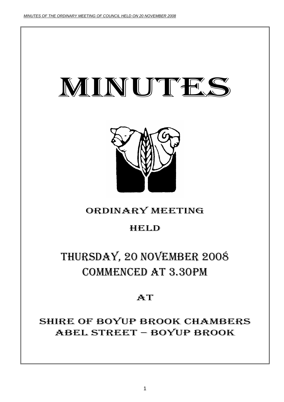



# ORDINARY MEETING

# HELD

# THURSDAY, 20 NOVEMBER 2008 COMMENCED AT 3.30PM

# **AT**

SHIRE OF BOYUP BROOK CHAMBERS ABEL STREET – BOYUP BROOK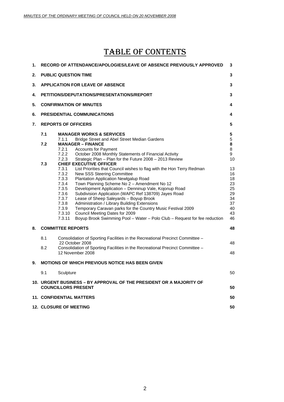# TABLE OF CONTENTS

| 1. | RECORD OF ATTENDANCE/APOLOGIES/LEAVE OF ABSENCE PREVIOUSLY APPROVED                                                                                                                                                                                                                                                                                                                                                                                                                                                                                                                                                                                                                                                                                                                                                                                                                                                                                                                                                                                        | 3                                                                                                       |
|----|------------------------------------------------------------------------------------------------------------------------------------------------------------------------------------------------------------------------------------------------------------------------------------------------------------------------------------------------------------------------------------------------------------------------------------------------------------------------------------------------------------------------------------------------------------------------------------------------------------------------------------------------------------------------------------------------------------------------------------------------------------------------------------------------------------------------------------------------------------------------------------------------------------------------------------------------------------------------------------------------------------------------------------------------------------|---------------------------------------------------------------------------------------------------------|
| 2. | <b>PUBLIC QUESTION TIME</b>                                                                                                                                                                                                                                                                                                                                                                                                                                                                                                                                                                                                                                                                                                                                                                                                                                                                                                                                                                                                                                | 3                                                                                                       |
| 3. | <b>APPLICATION FOR LEAVE OF ABSENCE</b>                                                                                                                                                                                                                                                                                                                                                                                                                                                                                                                                                                                                                                                                                                                                                                                                                                                                                                                                                                                                                    | 3                                                                                                       |
| 4. | PETITIONS/DEPUTATIONS/PRESENTATIONS/REPORT                                                                                                                                                                                                                                                                                                                                                                                                                                                                                                                                                                                                                                                                                                                                                                                                                                                                                                                                                                                                                 | 3                                                                                                       |
| 5. | <b>CONFIRMATION OF MINUTES</b>                                                                                                                                                                                                                                                                                                                                                                                                                                                                                                                                                                                                                                                                                                                                                                                                                                                                                                                                                                                                                             | 4                                                                                                       |
| 6. | <b>PRESIDENTIAL COMMUNICATIONS</b>                                                                                                                                                                                                                                                                                                                                                                                                                                                                                                                                                                                                                                                                                                                                                                                                                                                                                                                                                                                                                         | 4                                                                                                       |
| 7. | <b>REPORTS OF OFFICERS</b>                                                                                                                                                                                                                                                                                                                                                                                                                                                                                                                                                                                                                                                                                                                                                                                                                                                                                                                                                                                                                                 | 5                                                                                                       |
|    | 7.1<br><b>MANAGER WORKS &amp; SERVICES</b><br>7.1.1<br>Bridge Street and Abel Street Median Gardens<br>7.2<br><b>MANAGER - FINANCE</b><br>7.2.1<br><b>Accounts for Payment</b><br>7.2.2<br>October 2008 Monthly Statements of Financial Activity<br>7.2.3<br>Strategic Plan - Plan for the Future 2008 - 2013 Review<br>7.3<br><b>CHIEF EXECUTIVE OFFICER</b><br>7.3.1<br>List Priorities that Council wishes to flag with the Hon Terry Redman<br>7.3.2<br>New SSS Steering Committee<br>7.3.3<br>Plantation Application Newlgalup Road<br>7.3.4<br>Town Planning Scheme No 2 - Amendment No 12<br>7.3.5<br>Development Application - Denninup Vale, Kojonup Road<br>7.3.6<br>Subdivision Application (WAPC Ref 138709) Jayes Road<br>7.3.7<br>Lease of Sheep Saleyards - Boyup Brook<br>7.3.8<br>Administration / Library Building Extensions<br>7.3.9<br>Temporary Caravan parks for the Country Music Festival 2009<br>7.3.10<br>Council Meeting Dates for 2009<br>7.3.11<br>Boyup Brook Swimming Pool - Water - Polo Club - Request for fee reduction | 5<br>$\,$ 5 $\,$<br>8<br>8<br>9<br>10<br>13<br>16<br>18<br>23<br>25<br>29<br>34<br>37<br>40<br>43<br>46 |
| 8. | <b>COMMITTEE REPORTS</b>                                                                                                                                                                                                                                                                                                                                                                                                                                                                                                                                                                                                                                                                                                                                                                                                                                                                                                                                                                                                                                   | 48                                                                                                      |
|    | 8.1<br>Consolidation of Sporting Facilities in the Recreational Precinct Committee –<br>22 October 2008<br>8.2<br>Consolidation of Sporting Facilities in the Recreational Precinct Committee -<br>12 November 2008                                                                                                                                                                                                                                                                                                                                                                                                                                                                                                                                                                                                                                                                                                                                                                                                                                        | 48<br>48                                                                                                |
| 9. | <b>MOTIONS OF WHICH PREVIOUS NOTICE HAS BEEN GIVEN</b>                                                                                                                                                                                                                                                                                                                                                                                                                                                                                                                                                                                                                                                                                                                                                                                                                                                                                                                                                                                                     |                                                                                                         |
|    | 9.1<br>Sculpture                                                                                                                                                                                                                                                                                                                                                                                                                                                                                                                                                                                                                                                                                                                                                                                                                                                                                                                                                                                                                                           | 50                                                                                                      |
|    | 10. URGENT BUSINESS – BY APPROVAL OF THE PRESIDENT OR A MAJORITY OF<br><b>COUNCILLORS PRESENT</b>                                                                                                                                                                                                                                                                                                                                                                                                                                                                                                                                                                                                                                                                                                                                                                                                                                                                                                                                                          | 50                                                                                                      |
|    | <b>11. CONFIDENTIAL MATTERS</b>                                                                                                                                                                                                                                                                                                                                                                                                                                                                                                                                                                                                                                                                                                                                                                                                                                                                                                                                                                                                                            | 50                                                                                                      |
|    | 12. CLOSURE OF MEETING                                                                                                                                                                                                                                                                                                                                                                                                                                                                                                                                                                                                                                                                                                                                                                                                                                                                                                                                                                                                                                     | 50                                                                                                      |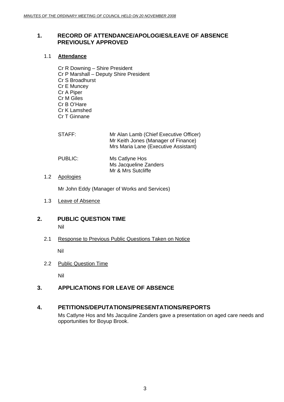# **1. RECORD OF ATTENDANCE/APOLOGIES/LEAVE OF ABSENCE PREVIOUSLY APPROVED**

# 1.1 **Attendance**

Cr R Downing – Shire President Cr P Marshall – Deputy Shire President Cr S Broadhurst Cr E Muncey Cr A Piper Cr M Giles Cr B O'Hare Cr K Lamshed Cr T Ginnane

| STAFF:  | Mr Alan Lamb (Chief Executive Officer)<br>Mr Keith Jones (Manager of Finance)<br>Mrs Maria Lane (Executive Assistant) |
|---------|-----------------------------------------------------------------------------------------------------------------------|
| PUBLIC: | Ms Catlyne Hos<br>Ms Jacqueline Zanders<br>Mr & Mrs Sutcliffe                                                         |

# 1.2 Apologies

Mr John Eddy (Manager of Works and Services)

1.3 Leave of Absence

# **2. PUBLIC QUESTION TIME**

Nil

2.1 Response to Previous Public Questions Taken on Notice

Nil

2.2 Public Question Time

Nil

# **3. APPLICATIONS FOR LEAVE OF ABSENCE**

# **4. PETITIONS/DEPUTATIONS/PRESENTATIONS/REPORTS**

Ms Catlyne Hos and Ms Jacquline Zanders gave a presentation on aged care needs and opportunities for Boyup Brook.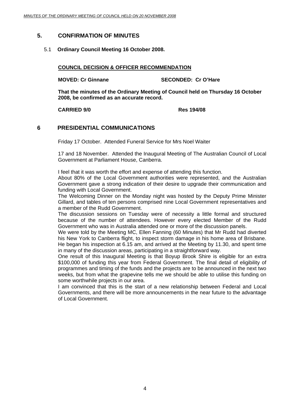# **5. CONFIRMATION OF MINUTES**

# 5.1 **Ordinary Council Meeting 16 October 2008.**

**COUNCIL DECISION & OFFICER RECOMMENDATION**

**MOVED: Cr Ginnane SECONDED: Cr O'Hare** 

**That the minutes of the Ordinary Meeting of Council held on Thursday 16 October 2008, be confirmed as an accurate record.** 

**CARRIED 9/0 Res 194/08** 

# **6 PRESIDENTIAL COMMUNICATIONS**

Friday 17 October. Attended Funeral Service for Mrs Noel Waiter

17 and 18 November. Attended the Inaugural Meeting of The Australian Council of Local Government at Parliament House, Canberra.

I feel that it was worth the effort and expense of attending this function.

About 80% of the Local Government authorities were represented, and the Australian Government gave a strong indication of their desire to upgrade their communication and funding with Local Government.

The Welcoming Dinner on the Monday night was hosted by the Deputy Prime Minister Gillard, and tables of ten persons comprised nine Local Government representatives and a member of the Rudd Government.

The discussion sessions on Tuesday were of necessity a little formal and structured because of the number of attendees. However every elected Member of the Rudd Government who was in Australia attended one or more of the discussion panels.

We were told by the Meeting MC, Ellen Fanning (60 Minutes) that Mr Rudd had diverted his New York to Canberra flight, to inspect storm damage in his home area of Brisbane. He began his inspection at 6.15 am, and arrived at the Meeting by 11.30, and spent time in many of the discussion areas, participating in a straightforward way.

One result of this Inaugural Meeting is that Boyup Brook Shire is eligible for an extra \$100,000 of funding this year from Federal Government. The final detail of eligibility of programmes and timing of the funds and the projects are to be announced in the next two weeks, but from what the grapevine tells me we should be able to utilise this funding on some worthwhile projects in our area.

I am convinced that this is the start of a new relationship between Federal and Local Governments, and there will be more announcements in the near future to the advantage of Local Government.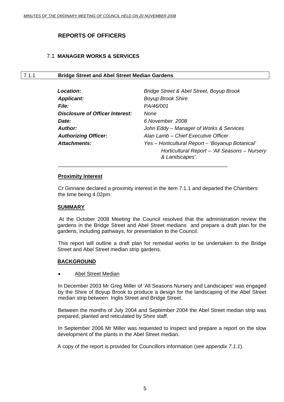# **REPORTS OF OFFICERS**

# 7.1 **MANAGER WORKS & SERVICES**

### 7.1.1 **Bridge Street and Abel Street Median Gardens**

| Location:                       | Bridge Street & Abel Street, Boyup Brook                        |
|---------------------------------|-----------------------------------------------------------------|
| <b>Applicant:</b>               | <b>Boyup Brook Shire</b>                                        |
| <i>File:</i>                    | PA/46/001                                                       |
| Disclosure of Officer Interest: | None                                                            |
| <b>Date:</b>                    | 6 November 2008                                                 |
| <b>Author:</b>                  | John Eddy – Manager of Works & Services                         |
| <b>Authorizing Officer:</b>     | Alan Lamb - Chief Executive Officer                             |
| <b>Attachments:</b>             | Yes - Horticultural Report - 'Boyanup Botanical'                |
|                                 | Horticultural Report - 'All Seasons - Nursery<br>& Landscapes'. |

#### **Proximity Interest**

Cr Ginnane declared a proximity interest in the item 7.1.1 and departed the Chambers the time being 4.02pm.

\_\_\_\_\_\_\_\_\_\_\_\_\_\_\_\_\_\_\_\_\_\_\_\_\_\_\_\_\_\_\_\_\_\_\_\_\_\_\_\_\_\_\_\_\_\_\_\_\_\_\_\_\_\_\_\_\_\_

#### **SUMMARY**

 At the October 2008 Meeting the Council resolved that the administration review the gardens in the Bridge Street and Abel Street medians and prepare a draft plan for the gardens, including pathways, for presentation to the Council.

 This report will outline a draft plan for remedial works to be undertaken to the Bridge Street and Abel Street median strip gardens.

# **BACKGROUND**

**Abel Street Median** 

In December 2003 Mr Greg Miller of 'All Seasons Nursery and Landscapes' was engaged by the Shire of Boyup Brook to produce a design for the landscaping of the Abel Street median strip between Inglis Street and Bridge Street.

 Between the months of July 2004 and September 2004 the Abel Street median strip was prepared, planted and reticulated by Shire staff.

 In September 2006 Mr Miller was requested to inspect and prepare a report on the slow development of the plants in the Abel Street median.

A copy of the report is provided for Councillors information (*see appendix 7.1.1*).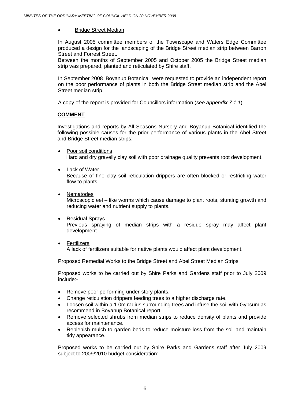#### • Bridge Street Median

In August 2005 committee members of the Townscape and Waters Edge Committee produced a design for the landscaping of the Bridge Street median strip between Barron Street and Forrest Street.

Between the months of September 2005 and October 2005 the Bridge Street median strip was prepared, planted and reticulated by Shire staff.

In September 2008 'Boyanup Botanical' were requested to provide an independent report on the poor performance of plants in both the Bridge Street median strip and the Abel Street median strip.

A copy of the report is provided for Councillors information (*see appendix 7.1.1*).

#### **COMMENT**

Investigations and reports by All Seasons Nursery and Boyanup Botanical identified the following possible causes for the prior performance of various plants in the Abel Street and Bridge Street median strips:-

- Poor soil conditions Hard and dry gravelly clay soil with poor drainage quality prevents root development.
- Lack of Water

Because of fine clay soil reticulation drippers are often blocked or restricting water flow to plants.

- Nematodes Microscopic eel – like worms which cause damage to plant roots, stunting growth and reducing water and nutrient supply to plants.
- Residual Sprays Previous spraying of median strips with a residue spray may affect plant development.
- Fertilizers A lack of fertilizers suitable for native plants would affect plant development.

# Proposed Remedial Works to the Bridge Street and Abel Street Median Strips

Proposed works to be carried out by Shire Parks and Gardens staff prior to July 2009 include:-

- Remove poor performing under-story plants.
- Change reticulation drippers feeding trees to a higher discharge rate.
- Loosen soil within a 1.0m radius surrounding trees and infuse the soil with Gypsum as recommend in Boyanup Botanical report.
- Remove selected shrubs from median strips to reduce density of plants and provide access for maintenance.
- Replenish mulch to garden beds to reduce moisture loss from the soil and maintain tidy appearance.

Proposed works to be carried out by Shire Parks and Gardens staff after July 2009 subject to 2009/2010 budget consideration:-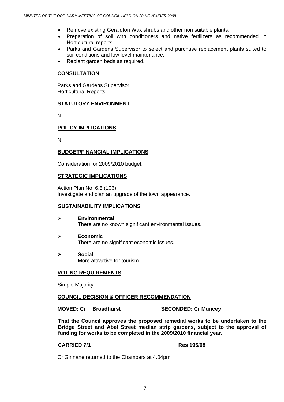- Remove existing Geraldton Wax shrubs and other non suitable plants.
- Preparation of soil with conditioners and native fertilizers as recommended in Horticultural reports.
- Parks and Gardens Supervisor to select and purchase replacement plants suited to soil conditions and low level maintenance.
- Replant garden beds as required.

#### **CONSULTATION**

Parks and Gardens Supervisor Horticultural Reports.

### **STATUTORY ENVIRONMENT**

Nil

# **POLICY IMPLICATIONS**

Nil

# **BUDGET/FINANCIAL IMPLICATIONS**

Consideration for 2009/2010 budget.

#### **STRATEGIC IMPLICATIONS**

Action Plan No. 6.5 (106) Investigate and plan an upgrade of the town appearance.

#### **SUSTAINABILITY IMPLICATIONS**

- ¾ **Environmental**  There are no known significant environmental issues.
- ¾ **Economic**  There are no significant economic issues.
- ¾ **Social**  More attractive for tourism.

# **VOTING REQUIREMENTS**

Simple Majority

#### **COUNCIL DECISION & OFFICER RECOMMENDATION**

**MOVED: Cr Broadhurst SECONDED: Cr Muncey** 

**That the Council approves the proposed remedial works to be undertaken to the Bridge Street and Abel Street median strip gardens, subject to the approval of funding for works to be completed in the 2009/2010 financial year.** 

### **CARRIED 7/1 Res 195/08**

Cr Ginnane returned to the Chambers at 4.04pm.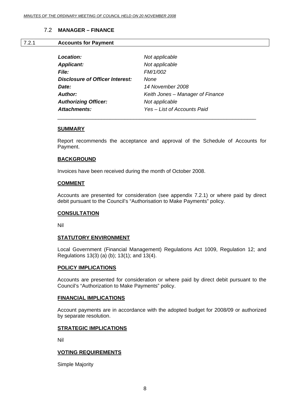# 7.2 **MANAGER – FINANCE**

#### 7.2.1 **Accounts for Payment**

| Location:                              | Not applicable                   |
|----------------------------------------|----------------------------------|
| <b>Applicant:</b>                      | Not applicable                   |
| <b>File:</b>                           | FM/1/002                         |
| <b>Disclosure of Officer Interest:</b> | None                             |
| Date:                                  | 14 November 2008                 |
| <b>Author:</b>                         | Keith Jones – Manager of Finance |
| <b>Authorizing Officer:</b>            | Not applicable                   |
| <b>Attachments:</b>                    | Yes - List of Accounts Paid      |

\_\_\_\_\_\_\_\_\_\_\_\_\_\_\_\_\_\_\_\_\_\_\_\_\_\_\_\_\_\_\_\_\_\_\_\_\_\_\_\_\_\_\_\_\_\_\_\_\_\_\_\_\_\_\_\_\_\_\_\_\_\_\_\_\_\_\_\_

#### **SUMMARY**

Report recommends the acceptance and approval of the Schedule of Accounts for Payment.

#### **BACKGROUND**

Invoices have been received during the month of October 2008.

#### **COMMENT**

Accounts are presented for consideration (see appendix 7.2.1) or where paid by direct debit pursuant to the Council's "Authorisation to Make Payments" policy.

#### **CONSULTATION**

Nil

#### **STATUTORY ENVIRONMENT**

Local Government (Financial Management) Regulations Act 1009, Regulation 12; and Regulations 13(3) (a) (b); 13(1); and 13(4).

#### **POLICY IMPLICATIONS**

Accounts are presented for consideration or where paid by direct debit pursuant to the Council's "Authorization to Make Payments" policy.

#### **FINANCIAL IMPLICATIONS**

Account payments are in accordance with the adopted budget for 2008/09 or authorized by separate resolution.

#### **STRATEGIC IMPLICATIONS**

Nil

#### **VOTING REQUIREMENTS**

Simple Majority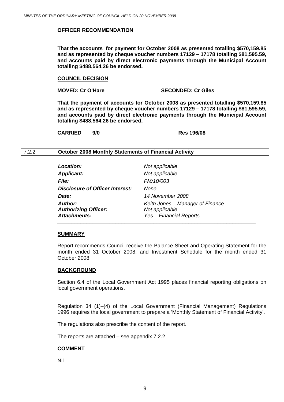#### **OFFICER RECOMMENDATION**

**That the accounts for payment for October 2008 as presented totalling \$570,159.85 and as represented by cheque voucher numbers 17129 – 17178 totalling \$81,595.59, and accounts paid by direct electronic payments through the Municipal Account totalling \$488,564.26 be endorsed.** 

#### **COUNCIL DECISION**

#### **MOVED: Cr O'Hare SECONDED: Cr Giles**

**That the payment of accounts for October 2008 as presented totalling \$570,159.85 and as represented by cheque voucher numbers 17129 – 17178 totalling \$81,595.59, and accounts paid by direct electronic payments through the Municipal Account totalling \$488,564.26 be endorsed.** 

**CARRIED 9/0 Res 196/08** 

#### 7.2.2 **October 2008 Monthly Statements of Financial Activity**

| <b>Location:</b>                                              | Not applicable                                                                       |
|---------------------------------------------------------------|--------------------------------------------------------------------------------------|
| <b>Applicant:</b>                                             | Not applicable                                                                       |
| <i>File:</i>                                                  | <b>FM/10/003</b>                                                                     |
| Disclosure of Officer Interest:                               | None                                                                                 |
| Date:                                                         | 14 November 2008                                                                     |
| Author:<br><b>Authorizing Officer:</b><br><b>Attachments:</b> | Keith Jones - Manager of Finance<br>Not applicable<br><b>Yes - Financial Reports</b> |

#### **SUMMARY**

Report recommends Council receive the Balance Sheet and Operating Statement for the month ended 31 October 2008, and Investment Schedule for the month ended 31 October 2008.

#### **BACKGROUND**

Section 6.4 of the Local Government Act 1995 places financial reporting obligations on local government operations.

Regulation 34 (1)–(4) of the Local Government (Financial Management) Regulations 1996 requires the local government to prepare a 'Monthly Statement of Financial Activity'.

The regulations also prescribe the content of the report.

The reports are attached – see appendix 7.2.2

#### **COMMENT**

Nil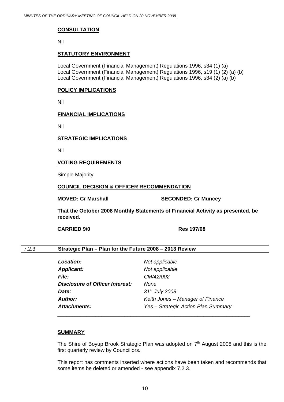### **CONSULTATION**

Nil

#### **STATUTORY ENVIRONMENT**

Local Government (Financial Management) Regulations 1996, s34 (1) (a) Local Government (Financial Management) Regulations 1996, s19 (1) (2) (a) (b) Local Government (Financial Management) Regulations 1996, s34 (2) (a) (b)

#### **POLICY IMPLICATIONS**

Nil

#### **FINANCIAL IMPLICATIONS**

Nil

#### **STRATEGIC IMPLICATIONS**

Nil

# **VOTING REQUIREMENTS**

Simple Majority

#### **COUNCIL DECISION & OFFICER RECOMMENDATION**

**MOVED: Cr Marshall SECONDED: Cr Muncey** 

**That the October 2008 Monthly Statements of Financial Activity as presented, be received.** 

**CARRIED 9/0 Res 197/08** 

# 7.2.3 **Strategic Plan – Plan for the Future 2008 – 2013 Review**

| <b>Location:</b>                | Not applicable                      |
|---------------------------------|-------------------------------------|
| <b>Applicant:</b>               | Not applicable                      |
| <i>File:</i>                    | CM/42/002                           |
| Disclosure of Officer Interest: | None                                |
| Date:                           | $31st$ July 2008                    |
| <b>Author:</b>                  | Keith Jones – Manager of Finance    |
| <b>Attachments:</b>             | Yes - Strategic Action Plan Summary |

\_\_\_\_\_\_\_\_\_\_\_\_\_\_\_\_\_\_\_\_\_\_\_\_\_\_\_\_\_\_\_\_\_\_\_\_\_\_\_\_\_\_\_\_\_\_\_\_\_\_\_\_\_\_\_\_\_\_\_\_\_\_\_\_\_\_

#### **SUMMARY**

The Shire of Boyup Brook Strategic Plan was adopted on  $7<sup>th</sup>$  August 2008 and this is the first quarterly review by Councillors.

This report has comments inserted where actions have been taken and recommends that some items be deleted or amended - see appendix 7.2.3.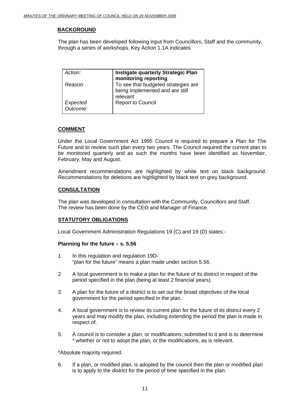# **BACKGROUND**

The plan has been developed following input from Councillors, Staff and the community, through a series of workshops. Key Action 1.1A indicates

| Action:              | <b>Instigate quarterly Strategic Plan</b><br>monitoring reporting                  |
|----------------------|------------------------------------------------------------------------------------|
| Reason:              | To see that budgeted strategies are<br>being implemented and are still<br>relevant |
| Expected<br>Outcome: | <b>Report to Council</b>                                                           |

# **COMMENT**

Under the Local Government Act 1995 Council is required to prepare a Plan for The Future and to review such plan every two years. The Council required the current plan to be monitored quarterly and as such the months have been identified as November, February, May and August.

Amendment recommendations are highlighted by white text on black background. Recommendations for deletions are highlighted by black text on grey background.

# **CONSULTATION**

The plan was developed in consultation with the Community, Councillors and Staff. The review has been done by the CEO and Manager of Finance.

# **STATUTORY OBLIGATIONS**

Local Government Administration Regulations 19 (C) and 19 (D) states:-

#### **Planning for the future – s. 5.56**

- 1 In this regulation and regulation 19D- "plan for the future" means a plan made under section 5.56.
- 2 A local government is to make a plan for the future of its district in respect of the period specified in the plan (being at least 2 financial years).
- 3. A plan for the future of a district is to set out the broad objectives of the local government for the period specified in the plan.
- 4. A local government is to review its current plan for the future of its district every 2 years and may modify the plan, including extending the period the plan is made in respect of.
- 5. A council is to consider a plan, or modifications, submitted to it and is to determine \* whether or not to adopt the plan, or the modifications, as is relevant.

\*Absolute majority required.

6. If a plan, or modified plan, is adopted by the council then the plan or modified plan is to apply to the district for the period of time specified in the plan.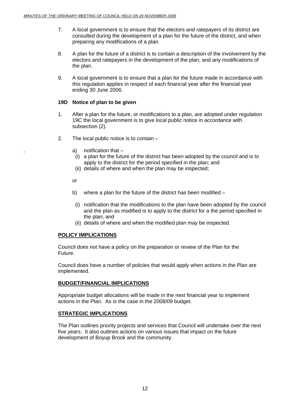- 7. A local government is to ensure that the electors and ratepayers of its district are consulted during the development of a plan for the future of the district, and when preparing any modifications of a plan.
- 8. A plan for the future of a district is to contain a description of the involvement by the electors and ratepayers in the development of the plan, and any modifications of the plan.
- 9. A local government is to ensure that a plan for the future made in accordance with this regulation applies in respect of each financial year after the financial year ending 30 June 2006.

### **19D Notice of plan to be given**

- 1. After a plan for the future, or modifications to a plan, are adopted under regulation 19C the local government is to give local public notice in accordance with subsection (2).
- 2. The local public notice is to contain
	- $a)$  notification that  $-$ 
		- (i) a plan for the future of the district has been adopted by the council and is to apply to the district for the period specified in the plan; and
		- (ii) details of where and when the plan may be inspected;
	- or
	- b) where a plan for the future of the district has been modified
		- (i) notification that the modifications to the plan have been adopted by the council and the plan as modified is to apply to the district for a the period specified in the plan; and
		- (ii) details of where and when the modified plan may be inspected.

# **POLICY IMPLICATIONS**

Council does not have a policy on the preparation or review of the Plan for the Future.

Council does have a number of policies that would apply when actions in the Plan are implemented.

# **BUDGET/FINANCIAL IMPLICATIONS**

Appropriate budget allocations will be made in the next financial year to implement actions in the Plan. As is the case in the 2008/09 budget.

# **STRATEGIC IMPLICATIONS**

The Plan outlines priority projects and services that Council will undertake over the next five years. It also outlines actions on various issues that impact on the future development of Boyup Brook and the community.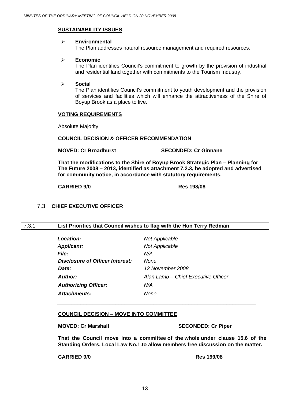# **SUSTAINABILITY ISSUES**

#### ¾ **Environmental**

The Plan addresses natural resource management and required resources.

#### ¾ **Economic**

The Plan identifies Council's commitment to growth by the provision of industrial and residential land together with commitments to the Tourism Industry.

#### ¾ **Social**

The Plan identifies Council's commitment to youth development and the provision of services and facilities which will enhance the attractiveness of the Shire of Boyup Brook as a place to live.

#### **VOTING REQUIREMENTS**

Absolute Majority

#### **COUNCIL DECISION & OFFICER RECOMMENDATION**

**MOVED: Cr Broadhurst SECONDED: Cr Ginnane** 

**That the modifications to the Shire of Boyup Brook Strategic Plan – Planning for The Future 2008 – 2013, identified as attachment 7.2.3, be adopted and advertised for community notice, in accordance with statutory requirements.** 

#### **CARRIED 9/0 Res 198/08**

# 7.3 **CHIEF EXECUTIVE OFFICER**

#### 7.3.1 **List Priorities that Council wishes to flag with the Hon Terry Redman**

| Location:                       | <b>Not Applicable</b>               |
|---------------------------------|-------------------------------------|
| <b>Applicant:</b>               | <b>Not Applicable</b>               |
| <b>File:</b>                    | N/A                                 |
| Disclosure of Officer Interest: | None                                |
| Date:                           | 12 November 2008                    |
| Author:                         | Alan Lamb - Chief Executive Officer |
| <b>Authorizing Officer:</b>     | N/A                                 |
| Attachments:                    | None                                |
|                                 |                                     |

 $\bar{a}$  ,  $\bar{a}$  ,  $\bar{a}$  ,  $\bar{a}$  ,  $\bar{a}$  ,  $\bar{a}$  ,  $\bar{a}$  ,  $\bar{a}$  ,  $\bar{a}$  ,  $\bar{a}$  ,  $\bar{a}$  ,  $\bar{a}$  ,  $\bar{a}$  ,  $\bar{a}$  ,  $\bar{a}$  ,  $\bar{a}$  ,  $\bar{a}$  ,  $\bar{a}$  ,  $\bar{a}$  ,  $\bar{a}$  ,  $\bar{a}$  ,  $\bar{a}$  ,

# **COUNCIL DECISION – MOVE INTO COMMITTEE**

**MOVED: Cr Marshall SECONDED: Cr Piper** 

**That the Council move into a committee of the whole under clause 15.6 of the Standing Orders, Local Law No.1.to allow members free discussion on the matter.** 

 **CARRIED 9/0 Res 199/08**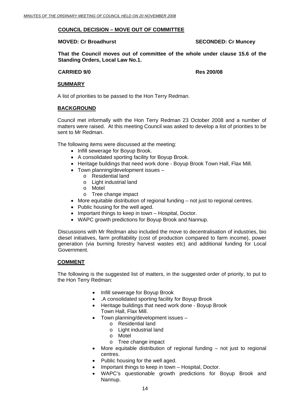# **COUNCIL DECISION – MOVE OUT OF COMMITTEE**

#### **MOVED: Cr Broadhurst SECONDED: Cr Muncey ATTLE SECONDED: Cr Muncey ATTLE**

**That the Council moves out of committee of the whole under clause 15.6 of the Standing Orders, Local Law No.1.** 

#### **CARRIED 9/0 Res 200/08**

#### **SUMMARY**

A list of priorities to be passed to the Hon Terry Redman.

#### **BACKGROUND**

Council met informally with the Hon Terry Redman 23 October 2008 and a number of matters were raised. At this meeting Council was asked to develop a list of priorities to be sent to Mr Redman.

The following items were discussed at the meeting:

- Infill sewerage for Boyup Brook.
- A consolidated sporting facility for Boyup Brook.
- Heritage buildings that need work done Boyup Brook Town Hall, Flax Mill.
- Town planning/development issues
	- o Residential land
	- o Light industrial land
	- o Motel
	- o Tree change impact
- More equitable distribution of regional funding not just to regional centres.
- Public housing for the well aged.
- Important things to keep in town Hospital, Doctor.
- WAPC growth predictions for Boyup Brook and Nannup.

Discussions with Mr Redman also included the move to decentralisation of industries, bio diesel initiatives, farm profitability (cost of production compared to farm income), power generation (via burning forestry harvest wastes etc) and additional funding for Local Government.

#### **COMMENT**

The following is the suggested list of matters, in the suggested order of priority, to put to the Hon Terry Redman:

- Infill sewerage for Boyup Brook
- .A consolidated sporting facility for Boyup Brook
- Heritage buildings that need work done Boyup Brook Town Hall, Flax Mill.
- Town planning/development issues
	- o Residential land
		- o Light industrial land
	- o Motel
	- o Tree change impact
- More equitable distribution of regional funding  $-$  not just to regional centres.
- Public housing for the well aged.
- Important things to keep in town Hospital, Doctor.
- WAPC's questionable growth predictions for Boyup Brook and Nannup.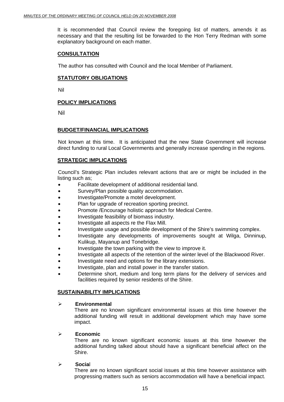It is recommended that Council review the foregoing list of matters, amends it as necessary and that the resulting list be forwarded to the Hon Terry Redman with some explanatory background on each matter.

#### **CONSULTATION**

The author has consulted with Council and the local Member of Parliament.

#### **STATUTORY OBLIGATIONS**

Nil

#### **POLICY IMPLICATIONS**

Nil

#### **BUDGET/FINANCIAL IMPLICATIONS**

 Not known at this time. It is anticipated that the new State Government will increase direct funding to rural Local Governments and generally increase spending in the regions.

# **STRATEGIC IMPLICATIONS**

 Council's Strategic Plan includes relevant actions that are or might be included in the listing such as;

- Facilitate development of additional residential land.
- Survey/Plan possible quality accommodation.
- Investigate/Promote a motel development.
- Plan for upgrade of recreation sporting precinct.
- Promote /Encourage holistic approach for Medical Centre.
- Investigate feasibility of biomass industry.
- Investigate all aspects re the Flax Mill.
- Investigate usage and possible development of the Shire's swimming complex.
- Investigate any developments of improvements sought at Wilga, Dinninup, Kulikup, Mayanup and Tonebridge.
- Investigate the town parking with the view to improve it.
- Investigate all aspects of the retention of the winter level of the Blackwood River.
- Investigate need and options for the library extensions.
- Investigate, plan and install power in the transfer station.
- Determine short, medium and long term plans for the delivery of services and facilities required by senior residents of the Shire.

#### **SUSTAINABILITY IMPLICATIONS**

#### ¾ **Environmental**

There are no known significant environmental issues at this time however the additional funding will result in additional development which may have some impact.

#### ¾ **Economic**

There are no known significant economic issues at this time however the additional funding talked about should have a significant beneficial affect on the Shire.

#### ¾ **Socia**l

There are no known significant social issues at this time however assistance with progressing matters such as seniors accommodation will have a beneficial impact.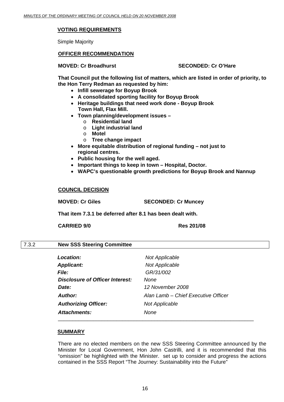# **VOTING REQUIREMENTS**

Simple Majority

### **OFFICER RECOMMENDATION**

#### **MOVED: Cr Broadhurst SECONDED: Cr O'Hare**

**That Council put the following list of matters, which are listed in order of priority, to the Hon Terry Redman as requested by him:** 

- **Infill sewerage for Boyup Brook**
- **A consolidated sporting facility for Boyup Brook**
- **Heritage buildings that need work done Boyup Brook Town Hall, Flax Mill.**
- **Town planning/development issues** 
	- o **Residential land**
	- o **Light industrial land**
	- o **Motel**
	- o **Tree change impact**
- **More equitable distribution of regional funding not just to regional centres.**
- **Public housing for the well aged.**
- **Important things to keep in town Hospital, Doctor.**
- **WAPC's questionable growth predictions for Boyup Brook and Nannup**

#### **COUNCIL DECISION**

**MOVED: Cr Giles SECONDED: Cr Muncey** 

**That item 7.3.1 be deferred after 8.1 has been dealt with.** 

 **CARRIED 9/0 Res 201/08**

#### 7.3.2 **New SSS Steering Committee**

| Location:                              | <b>Not Applicable</b>               |
|----------------------------------------|-------------------------------------|
| <b>Applicant:</b>                      | Not Applicable                      |
| <b>File:</b>                           | GR/31/002                           |
| <b>Disclosure of Officer Interest:</b> | <b>None</b>                         |
| Date:                                  | 12 November 2008                    |
| Author:                                | Alan Lamb - Chief Executive Officer |
| <b>Authorizing Officer:</b>            | <b>Not Applicable</b>               |
| Attachments:                           | <b>None</b>                         |
|                                        |                                     |

#### **SUMMARY**

There are no elected members on the new SSS Steering Committee announced by the Minister for Local Government, Hon John Castrilli, and it is recommended that this "omission" be highlighted with the Minister. set up to consider and progress the actions contained in the SSS Report "The Journey: Sustainability into the Future"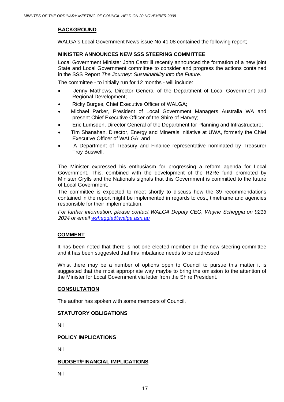# **BACKGROUND**

WALGA's Local Government News issue No 41.08 contained the following report;

# **MINISTER ANNOUNCES NEW SSS STEERING COMMITTEE**

Local Government Minister John Castrilli recently announced the formation of a new joint State and Local Government committee to consider and progress the actions contained in the SSS Report *The Journey: Sustainability into the Future*.

The committee - to initially run for 12 months - will include:

- Jenny Mathews, Director General of the Department of Local Government and Regional Development;
- Ricky Burges, Chief Executive Officer of WALGA;
- Michael Parker, President of Local Government Managers Australia WA and present Chief Executive Officer of the Shire of Harvey;
- Eric Lumsden, Director General of the Department for Planning and Infrastructure;
- Tim Shanahan, Director, Energy and Minerals Initiative at UWA, formerly the Chief Executive Officer of WALGA; and
- A Department of Treasury and Finance representative nominated by Treasurer Troy Buswell.

The Minister expressed his enthusiasm for progressing a reform agenda for Local Government. This, combined with the development of the R2Re fund promoted by Minister Grylls and the Nationals signals that this Government is committed to the future of Local Government.

The committee is expected to meet shortly to discuss how the 39 recommendations contained in the report might be implemented in regards to cost, timeframe and agencies responsible for their implementation.

*For further information, please contact WALGA Deputy CEO, Wayne Scheggia on 9213 2024 or email [wsheggia@walga.asn.au](mailto:wsheggia@walga.asn.au)* 

# **COMMENT**

It has been noted that there is not one elected member on the new steering committee and it has been suggested that this imbalance needs to be addressed.

Whist there may be a number of options open to Council to pursue this matter it is suggested that the most appropriate way maybe to bring the omission to the attention of the Minister for Local Government via letter from the Shire President.

# **CONSULTATION**

The author has spoken with some members of Council.

# **STATUTORY OBLIGATIONS**

Nil

# **POLICY IMPLICATIONS**

Nil

# **BUDGET/FINANCIAL IMPLICATIONS**

Nil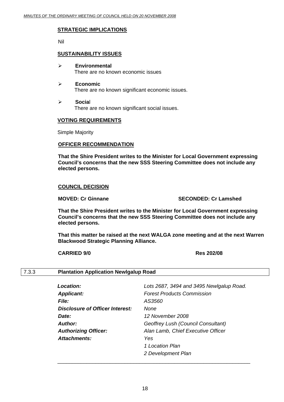### **STRATEGIC IMPLICATIONS**

Nil

### **SUSTAINABILITY ISSUES**

- ¾ **Environmental**  There are no known economic issues
- ¾ **Economic**  There are no known significant economic issues.
- ¾ **Socia**l There are no known significant social issues.

#### **VOTING REQUIREMENTS**

Simple Majority

#### **OFFICER RECOMMENDATION**

**That the Shire President writes to the Minister for Local Government expressing Council's concerns that the new SSS Steering Committee does not include any elected persons.** 

#### **COUNCIL DECISION**

#### **MOVED: Cr Ginnane SECONDED: Cr Lamshed**

**That the Shire President writes to the Minister for Local Government expressing Council's concerns that the new SSS Steering Committee does not include any elected persons.** 

**That this matter be raised at the next WALGA zone meeting and at the next Warren Blackwood Strategic Planning Alliance.** 

**CARRIED 9/0 Res 202/08** 

# 7.3.3 **Plantation Application Newlgalup Road**

| Location:                       | Lots 2687, 3494 and 3495 Newlgalup Road. |
|---------------------------------|------------------------------------------|
| <b>Applicant:</b>               | <b>Forest Products Commission</b>        |
| <b>File:</b>                    | AS3560                                   |
| Disclosure of Officer Interest: | None                                     |
| Date:                           | 12 November 2008                         |
| <b>Author:</b>                  | Geoffrey Lush (Council Consultant)       |
| <b>Authorizing Officer:</b>     | Alan Lamb, Chief Executive Officer       |
| Attachments:                    | Yes                                      |
|                                 | 1 Location Plan                          |
|                                 | 2 Development Plan                       |
|                                 |                                          |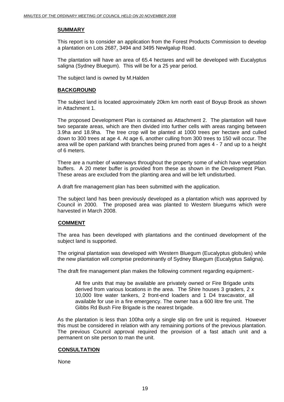### **SUMMARY**

This report is to consider an application from the Forest Products Commission to develop a plantation on Lots 2687, 3494 and 3495 Newlgalup Road.

The plantation will have an area of 65.4 hectares and will be developed with Eucalyptus saligna (Sydney Bluegum). This will be for a 25 year period.

The subject land is owned by M.Halden

### **BACKGROUND**

The subject land is located approximately 20km km north east of Boyup Brook as shown in Attachment 1.

The proposed Development Plan is contained as Attachment 2. The plantation will have two separate areas, which are then divided into further cells with areas ranging between 3.9ha and 18.9ha. The tree crop will be planted at 1000 trees per hectare and culled down to 300 trees at age 4. At age 6, another culling from 300 trees to 150 will occur. The area will be open parkland with branches being pruned from ages 4 - 7 and up to a height of 6 meters.

There are a number of waterways throughout the property some of which have vegetation buffers. A 20 meter buffer is provided from these as shown in the Development Plan. These areas are excluded from the planting area and will be left undisturbed.

A draft fire management plan has been submitted with the application.

The subject land has been previously developed as a plantation which was approved by Council in 2000. The proposed area was planted to Western bluegums which were harvested in March 2008.

# **COMMENT**

The area has been developed with plantations and the continued development of the subject land is supported.

The original plantation was developed with Western Bluegum (Eucalyptus globules) while the new plantation will comprise predominantly of Sydney Bluegum (Eucalyptus Saligna).

The draft fire management plan makes the following comment regarding equipment:-

All fire units that may be available are privately owned or Fire Brigade units derived from various locations in the area. The Shire houses 3 graders, 2 x 10,000 litre water tankers, 2 front-end loaders and 1 D4 traxcavator, all available for use in a fire emergency. The owner has a 600 litre fire unit. The Gibbs Rd Bush Fire Brigade is the nearest brigade.

As the plantation is less than 100ha only a single slip on fire unit is required. However this must be considered in relation with any remaining portions of the previous plantation. The previous Council approval required the provision of a fast attach unit and a permanent on site person to man the unit.

# **CONSULTATION**

None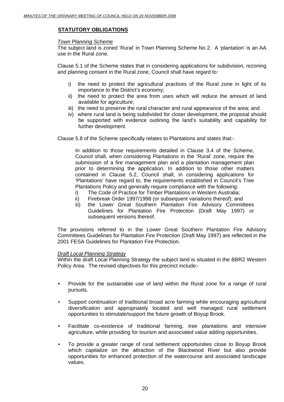# **STATUTORY OBLIGATIONS**

#### *Town Planning Scheme*

The subject land is zoned 'Rural' in Town Planning Scheme No 2. A 'plantation' is an AA use in the Rural zone.

Clause 5.1 of the Scheme states that in considering applications for subdivision, rezoning and planning consent in the Rural zone, Council shall have regard to:

- i) the need to protect the agricultural practices of the Rural zone in light of its importance to the District's economy;
- ii) the need to protect the area from uses which will reduce the amount of land available for agriculture;
- iii) the need to preserve the rural character and rural appearance of the area; and
- iv) where rural land is being subdivided for closer development, the proposal should be supported with evidence outlining the land's suitability and capability for further development.

Clause 5.8 of the Scheme specifically relates to Plantations and states that:-

In addition to those requirements detailed in Clause 3.4 of the Scheme, Council shall, when considering Plantations in the 'Rural' zone, require the submission of a fire management plan and a plantation management plan prior to determining the application. In addition to those other matters contained in Clause 5.2, Council shall, in considering applications for 'Plantations' have regard to, the requirements established in Council's Tree Plantations Policy and generally require compliance with the following:

- i) The Code of Practice for Timber Plantations in Western Australia;
- ii) Firebreak Order 1997/1998 (or subsequent variations thereof); and
- iii) the Lower Great Southern Plantation Fire Advisory Committees Guidelines for Plantation Fire Protection (Draft May 1997) or subsequent versions thereof.

The provisions referred to in the Lower Great Southern Plantation Fire Advisory Committees Guidelines for Plantation Fire Protection (Draft May 1997) are reflected in the 2001 FESA Guidelines for Plantation Fire Protection.

#### *Draft Local Planning Strategy*

Within the draft Local Planning Strategy the subject land is situated in the BBR2 Western Policy Area. The revised objectives for this precinct include:-

- Provide for the sustainable use of land within the Rural zone for a range of rural pursuits.
- Support continuation of traditional broad acre farming while encouraging agricultural diversification and appropriately located and well managed rural settlement opportunities to stimulate/support the future growth of Boyup Brook.
- Facilitate co-existence of traditional farming, tree plantations and intensive agriculture, while providing for tourism and associated value adding opportunities.
- To provide a greater range of rural settlement opportunities close to Boyup Brook which capitalize on the attraction of the Blackwood River but also provide opportunities for enhanced protection of the watercourse and associated landscape values.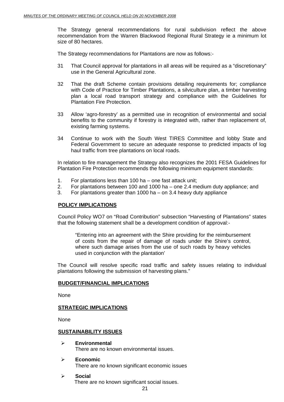The Strategy general recommendations for rural subdivision reflect the above recommendation from the Warren Blackwood Regional Rural Strategy ie a minimum lot size of 80 hectares.

The Strategy recommendations for Plantations are now as follows:-

- 31 That Council approval for plantations in all areas will be required as a "discretionary" use in the General Agricultural zone.
- 32 That the draft Scheme contain provisions detailing requirements for; compliance with Code of Practice for Timber Plantations, a silviculture plan, a timber harvesting plan a local road transport strategy and compliance with the Guidelines for Plantation Fire Protection.
- 33 Allow 'agro-forestry' as a permitted use in recognition of environmental and social benefits to the community if forestry is integrated with, rather than replacement of, existing farming systems.
- 34 Continue to work with the South West TIRES Committee and lobby State and Federal Government to secure an adequate response to predicted impacts of log haul traffic from tree plantations on local roads.

In relation to fire management the Strategy also recognizes the 2001 FESA Guidelines for Plantation Fire Protection recommends the following minimum equipment standards:

- 1. For plantations less than 100 ha one fast attack unit;
- 2. For plantations between 100 and 1000 ha one 2.4 medium duty appliance; and
- 3. For plantations greater than 1000 ha on 3.4 heavy duty appliance

# **POLICY IMPLICATIONS**

 Council Policy WO7 on "Road Contribution" subsection "Harvesting of Plantations" states that the following statement shall be a development condition of approval:-

"Entering into an agreement with the Shire providing for the reimbursement of costs from the repair of damage of roads under the Shire's control, where such damage arises from the use of such roads by heavy vehicles used in conjunction with the plantation'

The Council will resolve specific road traffic and safety issues relating to individual plantations following the submission of harvesting plans."

#### **BUDGET/FINANCIAL IMPLICATIONS**

None

# **STRATEGIC IMPLICATIONS**

None

#### **SUSTAINABILITY ISSUES**

- ¾ **Environmental**  There are no known environmental issues.
- ¾ **Economic**  There are no known significant economic issues
- ¾ **Social**  There are no known significant social issues.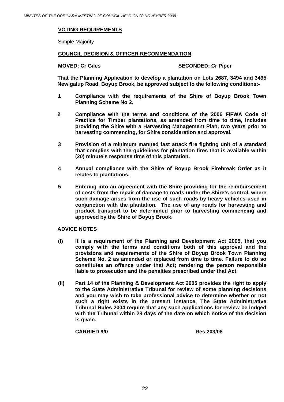# **VOTING REQUIREMENTS**

Simple Majority

# **COUNCIL DECISION & OFFICER RECOMMENDATION**

**MOVED: Cr Giles SECONDED: Cr Piper** 

**That the Planning Application to develop a plantation on Lots 2687, 3494 and 3495 Newlgalup Road, Boyup Brook, be approved subject to the following conditions:-** 

- **1 Compliance with the requirements of the Shire of Boyup Brook Town Planning Scheme No 2.**
- **2 Compliance with the terms and conditions of the 2006 FIFWA Code of Practice for Timber plantations, as amended from time to time, includes providing the Shire with a Harvesting Management Plan, two years prior to harvesting commencing, for Shire consideration and approval.**
- **3 Provision of a minimum manned fast attack fire fighting unit of a standard that complies with the guidelines for plantation fires that is available within (20) minute's response time of this plantation.**
- **4 Annual compliance with the Shire of Boyup Brook Firebreak Order as it relates to plantations.**
- **5 Entering into an agreement with the Shire providing for the reimbursement of costs from the repair of damage to roads under the Shire's control, where such damage arises from the use of such roads by heavy vehicles used in conjunction with the plantation. The use of any roads for harvesting and product transport to be determined prior to harvesting commencing and approved by the Shire of Boyup Brook.**

# **ADVICE NOTES**

- **(I) It is a requirement of the Planning and Development Act 2005, that you comply with the terms and conditions both of this approval and the provisions and requirements of the Shire of Boyup Brook Town Planning Scheme No. 2 as amended or replaced from time to time. Failure to do so constitutes an offence under that Act; rendering the person responsible liable to prosecution and the penalties prescribed under that Act.**
- **(II) Part 14 of the Planning & Development Act 2005 provides the right to apply to the State Administrative Tribunal for review of some planning decisions and you may wish to take professional advice to determine whether or not such a right exists in the present instance. The State Administrative Tribunal Rules 2004 require that any such applications for review be lodged with the Tribunal within 28 days of the date on which notice of the decision is given.**

**CARRIED 9/0 Res 203/08**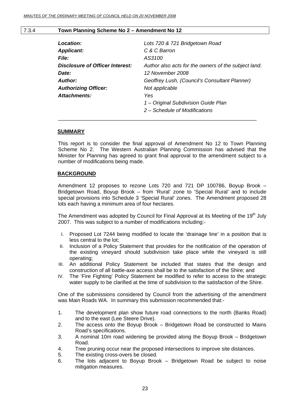### 7.3.4 **Town Planning Scheme No 2 – Amendment No 12**

| Location:                       | Lots 720 & 721 Bridgetown Road                       |
|---------------------------------|------------------------------------------------------|
| <b>Applicant:</b>               | C & C Barron                                         |
| <b>File:</b>                    | AS3100                                               |
| Disclosure of Officer Interest: | Author also acts for the owners of the subject land. |
| Date:                           | 12 November 2008                                     |
| Author:                         | Geoffrey Lush, (Council's Consultant Planner)        |
| <b>Authorizing Officer:</b>     | Not applicable                                       |
| Attachments:                    | Yes                                                  |
|                                 | 1 – Original Subdivision Guide Plan                  |
|                                 | 2 – Schedule of Modifications                        |
|                                 |                                                      |

#### **SUMMARY**

This report is to consider the final approval of Amendment No 12 to Town Planning Scheme No 2. The Western Australian Planning Commission has advised that the Minister for Planning has agreed to grant final approval to the amendment subject to a number of modifications being made.

#### **BACKGROUND**

Amendment 12 proposes to rezone Lots 720 and 721 DP 100786, Boyup Brook – Bridgetown Road, Boyup Brook – from 'Rural' zone to 'Special Rural' and to include special provisions into Schedule 3 'Special Rural' zones. The Amendment proposed 28 lots each having a minimum area of four hectares.

The Amendment was adopted by Council for Final Approval at its Meeting of the  $19<sup>th</sup>$  July 2007. This was subject to a number of modifications including:-

- I. Proposed Lot 7244 being modified to locate the 'drainage line' in a position that is less central to the lot;
- II. Inclusion of a Policy Statement that provides for the notification of the operation of the existing vineyard should subdivision take place while the vineyard is still operating;
- III. An additional Policy Statement be included that states that the design and construction of all battle-axe access shall be to the satisfaction of the Shire; and
- IV. The 'Fire Fighting' Policy Statement be modified to refer to access to the strategic water supply to be clarified at the time of subdivision to the satisfaction of the Shire.

One of the submissions considered by Council from the advertising of the amendment was Main Roads WA. In summary this submission recommended that:-

- 1. The development plan show future road connections to the north (Banks Road) and to the east (Lee Steere Drive).
- 2. The access onto the Boyup Brook Bridgetown Road be constructed to Mains Road's specifications.
- 3. A nominal 10m road widening be provided along the Boyup Brook Bridgetown Road.
- 4. Tree pruning occur near the proposed intersections to improve site distances.
- 5. The existing cross-overs be closed.
- 6. The lots adjacent to Boyup Brook Bridgetown Road be subject to noise mitigation measures.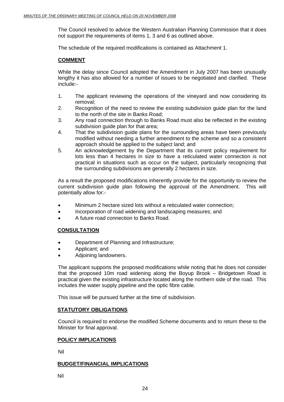The Council resolved to advice the Western Australian Planning Commission that it does not support the requirements of items 1, 3 and 6 as outlined above.

The schedule of the required modifications is contained as Attachment 1.

# **COMMENT**

While the delay since Council adopted the Amendment in July 2007 has been unusually lengthy it has also allowed for a number of issues to be negotiated and clarified. These include:-

- 1. The applicant reviewing the operations of the vineyard and now considering its removal;
- 2. Recognition of the need to review the existing subdivision guide plan for the land to the north of the site in Banks Road;
- 3. Any road connection through to Banks Road must also be reflected in the existing subdivision guide plan for that area;
- 4. That the subdivision guide plans for the surrounding areas have been previously modified without needing a further amendment to the scheme and so a consistent approach should be applied to the subject land; and
- 5. An acknowledgement by the Department that its current policy requirement for lots less than 4 hectares in size to have a reticulated water connection is not practical in situations such as occur on the subject, particularly recognizing that the surrounding subdivisions are generally 2 hectares in size.

As a result the proposed modifications inherently provide for the opportunity to review the current subdivision guide plan following the approval of the Amendment. This will potentially allow for:-

- Minimum 2 hectare sized lots without a reticulated water connection;
- Incorporation of road widening and landscaping measures; and
- A future road connection to Banks Road.

# **CONSULTATION**

- Department of Planning and Infrastructure;
- Applicant; and
- Adjoining landowners.

The applicant supports the proposed modifications while noting that he does not consider that the proposed 10m road widening along the Boyup Brook – Bridgetown Road is practical given the existing infrastructure located along the northern side of the road. This includes the water supply pipeline and the optic fibre cable.

This issue will be pursued further at the time of subdivision.

#### **STATUTORY OBLIGATIONS**

Council is required to endorse the modified Scheme documents and to return these to the Minister for final approval.

# **POLICY IMPLICATIONS**

Nil

# **BUDGET/FINANCIAL IMPLICATIONS**

Nil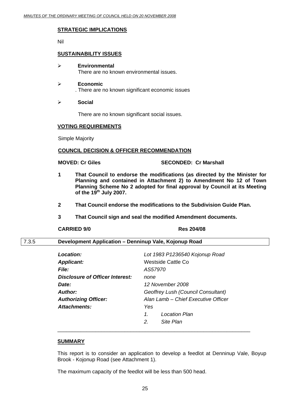# **STRATEGIC IMPLICATIONS**

Nil

### **SUSTAINABILITY ISSUES**

- ¾ **Environmental**  There are no known environmental issues.
- ¾ **Economic**  . There are no known significant economic issues
- ¾ **Social**

There are no known significant social issues.

#### **VOTING REQUIREMENTS**

Simple Majority

#### **COUNCIL DECISION & OFFICER RECOMMENDATION**

#### **MOVED: Cr Giles SECONDED: Cr Marshall**

- **1 That Council to endorse the modifications (as directed by the Minister for Planning and contained in Attachment 2) to Amendment No 12 of Town Planning Scheme No 2 adopted for final approval by Council at its Meeting of the 19th July 2007.**
- **2 That Council endorse the modifications to the Subdivision Guide Plan.**
- **3 That Council sign and seal the modified Amendment documents.**

#### **CARRIED 9/0 Res 204/08**

# 7.3.5 **Development Application – Denninup Vale, Kojonup Road**

| Location:                       | Lot 1983 P1236540 Kojonup Road      |
|---------------------------------|-------------------------------------|
| <b>Applicant:</b>               | Westside Cattle Co                  |
| <b>File:</b>                    | AS57970                             |
| Disclosure of Officer Interest: | none                                |
| Date:                           | 12 November 2008                    |
| <b>Author:</b>                  | Geoffrey Lush (Council Consultant)  |
| <b>Authorizing Officer:</b>     | Alan Lamb - Chief Executive Officer |
| Attachments:                    | Yes                                 |
|                                 | 1.<br><b>Location Plan</b>          |
|                                 | Site Plan<br>2.                     |

#### **SUMMARY**

This report is to consider an application to develop a feedlot at Denninup Vale, Boyup Brook - Kojonup Road (see Attachment 1).

The maximum capacity of the feedlot will be less than 500 head.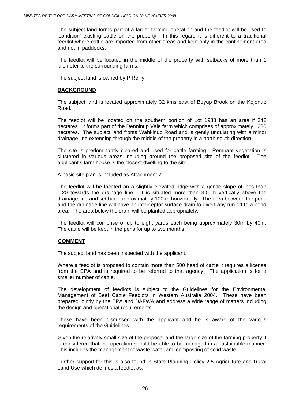The subject land forms part of a larger farming operation and the feedlot will be used to 'condition' existing cattle on the property. In this regard it is different to a traditional feedlot where cattle are imported from other areas and kept only in the confinement area and not in paddocks.

The feedlot will be located in the middle of the property with setbacks of more than 1 kilometer to the surrounding farms.

The subject land is owned by P Reilly.

### **BACKGROUND**

The subject land is located approximately 32 kms east of Boyup Brook on the Kojonup Road.

The feedlot will be located on the southern portion of Lot 1983 has an area if 242 hectares. It forms part of the Denninup Vale farm which comprises of approximately 1280 hectares. The subject land fronts Wahkinup Road and is gently undulating with a minor drainage line extending through the middle of the property in a north south direction.

The site is predominantly cleared and used for cattle farming. Remnant vegetation is clustered in various areas including around the proposed site of the feedlot. The applicant's farm house is the closest dwelling to the site.

A basic site plan is included as Attachment 2.

The feedlot will be located on a slightly elevated ridge with a gentle slope of less than 1:20 towards the drainage line. It is situated more than 3.0 m vertically above the drainage line and set back approximately 100 m horizontally. The area between the pens and the drainage line will have an interceptor surface drain to divert any run off to a pond area. The area below the drain will be planted appropriately.

The feedlot will comprise of up to eight yards each being approximately 30m by 40m. The cattle will be kept in the pens for up to two months.

# **COMMENT**

The subject land has been inspected with the applicant.

Where a feedlot is proposed to contain more than 500 head of cattle it requires a license from the EPA and is required to be referred to that agency. The application is for a smaller number of cattle.

The development of feedlots is subject to the Guidelines for the Environmental Management of Beef Cattle Feedlots in Western Australia 2004. These have been prepared jointly by the EPA and DAFWA and address a wide range of matters including the design and operational requirements:-

These have been discussed with the applicant and he is aware of the various requirements of the Guidelines.

Given the relatively small size of the proposal and the large size of the farming property it is considered that the operation should be able to be managed in a sustainable manner. This includes the management of waste water and composting of solid waste.

Further support for this is also found in State Planning Policy 2.5 Agriculture and Rural Land Use which defines a feedlot as:-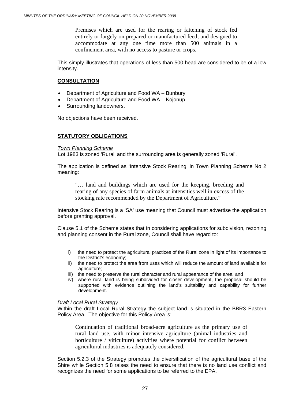Premises which are used for the rearing or fattening of stock fed entirely or largely on prepared or manufactured feed; and designed to accommodate at any one time more than 500 animals in a confinement area, with no access to pasture or crops.

This simply illustrates that operations of less than 500 head are considered to be of a low intensity.

# **CONSULTATION**

- Department of Agriculture and Food WA Bunbury
- Department of Agriculture and Food WA Kojonup
- Surrounding landowners.

No objections have been received.

# **STATUTORY OBLIGATIONS**

#### *Town Planning Scheme*

Lot 1983 is zoned 'Rural' and the surrounding area is generally zoned 'Rural'.

The application is defined as 'Intensive Stock Rearing' in Town Planning Scheme No 2 meaning:

"… land and buildings which are used for the keeping, breeding and rearing of any species of farm animals at intensities well in excess of the stocking rate recommended by the Department of Agriculture."

Intensive Stock Rearing is a 'SA' use meaning that Council must advertise the application before granting approval.

Clause 5.1 of the Scheme states that in considering applications for subdivision, rezoning and planning consent in the Rural zone, Council shall have regard to:

- i) the need to protect the agricultural practices of the Rural zone in light of its importance to the District's economy;
- ii) the need to protect the area from uses which will reduce the amount of land available for agriculture;
- iii) the need to preserve the rural character and rural appearance of the area; and
- iv) where rural land is being subdivided for closer development, the proposal should be supported with evidence outlining the land's suitability and capability for further development.

#### *Draft Local Rural Strategy*

Within the draft Local Rural Strategy the subject land is situated in the BBR3 Eastern Policy Area. The objective for this Policy Area is:

Continuation of traditional broad-acre agriculture as the primary use of rural land use, with minor intensive agriculture (animal industries and horticulture / viticulture) activities where potential for conflict between agricultural industries is adequately considered.

Section 5.2.3 of the Strategy promotes the diversification of the agricultural base of the Shire while Section 5.8 raises the need to ensure that there is no land use conflict and recognizes the need for some applications to be referred to the EPA.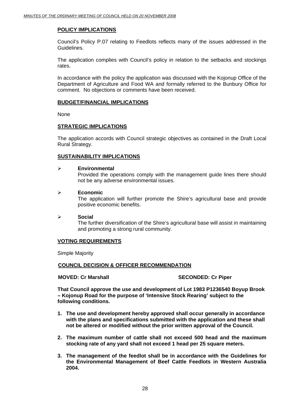# **POLICY IMPLICATIONS**

Council's Policy P.07 relating to Feedlots reflects many of the issues addressed in the Guidelines.

The application complies with Council's policy in relation to the setbacks and stockings rates.

In accordance with the policy the application was discussed with the Kojonup Office of the Department of Agriculture and Food WA and formally referred to the Bunbury Office for comment. No objections or comments have been received.

#### **BUDGET/FINANCIAL IMPLICATIONS**

None

# **STRATEGIC IMPLICATIONS**

The application accords with Council strategic objectives as contained in the Draft Local Rural Strategy.

# **SUSTAINABILITY IMPLICATIONS**

#### ¾ **Environmental**

Provided the operations comply with the management guide lines there should not be any adverse environmental issues.

#### ¾ **Economic**

The application will further promote the Shire's agricultural base and provide positive economic benefits.

¾ **Social**  The further diversification of the Shire's agricultural base will assist in maintaining and promoting a strong rural community.

# **VOTING REQUIREMENTS**

Simple Majority

# **COUNCIL DECISION & OFFICER RECOMMENDATION**

**MOVED: Cr Marshall SECONDED: Cr Piper and SECONDED: Cr Piper** 

**That Council approve the use and development of Lot 1983 P1236540 Boyup Brook – Kojonup Road for the purpose of 'Intensive Stock Rearing' subject to the following conditions.** 

- **1. The use and development hereby approved shall occur generally in accordance with the plans and specifications submitted with the application and these shall not be altered or modified without the prior written approval of the Council.**
- **2. The maximum number of cattle shall not exceed 500 head and the maximum stocking rate of any yard shall not exceed 1 head per 25 square meters.**
- **3. The management of the feedlot shall be in accordance with the Guidelines for the Environmental Management of Beef Cattle Feedlots in Western Australia 2004.**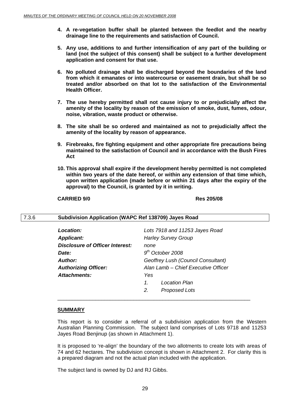- **4. A re-vegetation buffer shall be planted between the feedlot and the nearby drainage line to the requirements and satisfaction of Council.**
- **5. Any use, additions to and further intensification of any part of the building or land (not the subject of this consent) shall be subject to a further development application and consent for that use.**
- **6. No polluted drainage shall be discharged beyond the boundaries of the land from which it emanates or into watercourse or easement drain, but shall be so treated and/or absorbed on that lot to the satisfaction of the Environmental Health Officer.**
- **7. The use hereby permitted shall not cause injury to or prejudicially affect the amenity of the locality by reason of the emission of smoke, dust, fumes, odour, noise, vibration, waste product or otherwise.**
- **8. The site shall be so ordered and maintained as not to prejudicially affect the amenity of the locality by reason of appearance.**
- **9. Firebreaks, fire fighting equipment and other appropriate fire precautions being maintained to the satisfaction of Council and in accordance with the Bush Fires Act**
- **10. This approval shall expire if the development hereby permitted is not completed within two years of the date hereof, or within any extension of that time which, upon written application (made before or within 21 days after the expiry of the approval) to the Council, is granted by it in writing.**

#### **CARRIED 9/0 Res 205/08**

#### 7.3.6 **Subdivision Application (WAPC Ref 138709) Jayes Road**

| Location:                              |                       | Lots 7918 and 11253 Jayes Road      |
|----------------------------------------|-----------------------|-------------------------------------|
| <b>Applicant:</b>                      |                       | <b>Harley Survey Group</b>          |
| <b>Disclosure of Officer Interest:</b> | none                  |                                     |
| Date:                                  |                       | $9th$ October 2008                  |
| Author:                                |                       | Geoffrey Lush (Council Consultant)  |
| <b>Authorizing Officer:</b>            |                       | Alan Lamb - Chief Executive Officer |
| Attachments:                           | Yes                   |                                     |
|                                        | $\mathcal{I}$         | Location Plan                       |
|                                        | $\mathcal{P}_{\cdot}$ | <b>Proposed Lots</b>                |
|                                        |                       |                                     |

#### **SUMMARY**

This report is to consider a referral of a subdivision application from the Western Australian Planning Commission. The subject land comprises of Lots 9718 and 11253 Jayes Road Benjinup (as shown in Attachment 1).

It is proposed to 're-align' the boundary of the two allotments to create lots with areas of 74 and 62 hectares. The subdivision concept is shown in Attachment 2. For clarity this is a prepared diagram and not the actual plan included with the application.

The subject land is owned by DJ and RJ Gibbs.

 $\overline{\phantom{a}}$  , and the contract of the contract of the contract of the contract of the contract of the contract of the contract of the contract of the contract of the contract of the contract of the contract of the contrac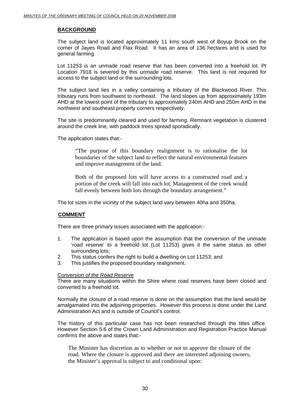# **BACKGROUND**

The subject land is located approximately 11 kms south west of Boyup Brook on the corner of Jayes Road and Flax Road. It has an area of 136 hectares and is used for general farming.

Lot 11253 is an unmade road reserve that has been converted into a freehold lot. Pt Location 7918 is severed by this unmade road reserve. This land is not required for access to the subject land or the surrounding lots.

The subject land lies in a valley containing a tributary of the Blackwood River. This tributary runs from southwest to northeast. The land slopes up from approximately 193m AHD at the lowest point of the tributary to approximately 240m AHD and 250m AHD in the northwest and southeast property corners respectively.

The site is predominantly cleared and used for farming. Remnant vegetation is clustered around the creek line, with paddock trees spread sporadically.

The application states that:-

"The purpose of this boundary realignment is to rationalise the lot boundaries of the subject land to reflect the natural environmental features and improve management of the land.

Both of the proposed lots will have access to a constructed road and a portion of the creek will fall into each lot. Management of the creek would fall evenly between both lots through the boundary arrangement."

The lot sizes in the vicinity of the subject land vary between 40ha and 350ha.

# **COMMENT**

There are three primary issues associated with the application:-

- 1. The application is based upon the assumption that the conversion of the unmade 'road reserve' to a freehold lot (Lot 11253) gives it the same status as other surrounding lots;
- 2. This status confers the right to build a dwelling on Lot 11253; and
- 3. This justifies the proposed boundary realignment.

#### *Conversion of the Road Reserve*

There are many situations within the Shire where road reserves have been closed and converted to a freehold lot.

Normally the closure of a road reserve is done on the assumption that the land would be amalgamated into the adjoining properties. However this process is done under the Land Administration Act and is outside of Council's control.

The history of this particular case has not been researched through the titles office. However Section 5.6 of the Crown Land Administration and Registration Practice Manual confirms the above and states that:-

The Minister has discretion as to whether or not to approve the closure of the road. Where the closure is approved and there are interested adjoining owners, the Minister's approval is subject to and conditional upon: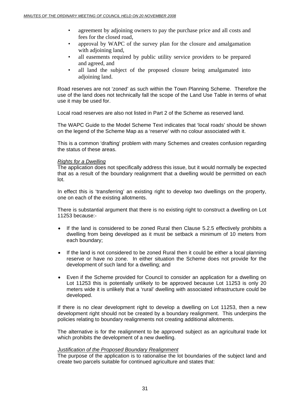- agreement by adjoining owners to pay the purchase price and all costs and fees for the closed road,
- approval by WAPC of the survey plan for the closure and amalgamation with adjoining land,
- all easements required by public utility service providers to be prepared and agreed, and
- all land the subject of the proposed closure being amalgamated into adioining land.

Road reserves are not 'zoned' as such within the Town Planning Scheme. Therefore the use of the land does not technically fall the scope of the Land Use Table in terms of what use it may be used for.

Local road reserves are also not listed in Part 2 of the Scheme as reserved land.

The WAPC Guide to the Model Scheme Text indicates that 'local roads' should be shown on the legend of the Scheme Map as a 'reserve' with no colour associated with it.

This is a common 'drafting' problem with many Schemes and creates confusion regarding the status of these areas.

#### *Rights for a Dwelling*

The application does not specifically address this issue, but it would normally be expected that as a result of the boundary realignment that a dwelling would be permitted on each lot.

In effect this is 'transferring' an existing right to develop two dwellings on the property, one on each of the existing allotments.

There is substantial argument that there is no existing right to construct a dwelling on Lot 11253 because:-

- If the land is considered to be zoned Rural then Clause 5.2.5 effectively prohibits a dwelling from being developed as it must be setback a minimum of 10 meters from each boundary;
- If the land is not considered to be zoned Rural then it could be either a local planning reserve or have no zone. In either situation the Scheme does not provide for the development of such land for a dwelling; and
- Even if the Scheme provided for Council to consider an application for a dwelling on Lot 11253 this is potentially unlikely to be approved because Lot 11253 is only 20 meters wide it is unlikely that a 'rural' dwelling with associated infrastructure could be developed.

If there is no clear development right to develop a dwelling on Lot 11253, then a new development right should not be created by a boundary realignment. This underpins the policies relating to boundary realignments not creating additional allotments.

The alternative is for the realignment to be approved subject as an agricultural trade lot which prohibits the development of a new dwelling.

#### *Justification of the Proposed Boundary Realignment*

The purpose of the application is to rationalise the lot boundaries of the subject land and create two parcels suitable for continued agriculture and states that: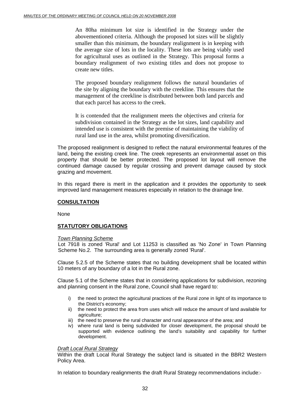An 80ha minimum lot size is identified in the Strategy under the abovementioned criteria. Although the proposed lot sizes will be slightly smaller than this minimum, the boundary realignment is in keeping with the average size of lots in the locality. These lots are being viably used for agricultural uses as outlined in the Strategy. This proposal forms a boundary realignment of two existing titles and does not propose to create new titles.

The proposed boundary realignment follows the natural boundaries of the site by aligning the boundary with the creekline. This ensures that the management of the creekline is distributed between both land parcels and that each parcel has access to the creek.

It is contended that the realignment meets the objectives and criteria for subdivision contained in the Strategy as the lot sizes, land capability and intended use is consistent with the premise of maintaining the viability of rural land use in the area, whilst promoting diversification.

The proposed realignment is designed to reflect the natural environmental features of the land, being the existing creek line. The creek represents an environmental asset on this property that should be better protected. The proposed lot layout will remove the continued damage caused by regular crossing and prevent damage caused by stock grazing and movement.

In this regard there is merit in the application and it provides the opportunity to seek improved land management measures especially in relation to the drainage line.

# **CONSULTATION**

None

# **STATUTORY OBLIGATIONS**

#### *Town Planning Scheme*

Lot 7918 is zoned 'Rural' and Lot 11253 is classified as 'No Zone' in Town Planning Scheme No.2. The surrounding area is generally zoned 'Rural'.

Clause 5.2.5 of the Scheme states that no building development shall be located within 10 meters of any boundary of a lot in the Rural zone.

Clause 5.1 of the Scheme states that in considering applications for subdivision, rezoning and planning consent in the Rural zone, Council shall have regard to:

- i) the need to protect the agricultural practices of the Rural zone in light of its importance to the District's economy;
- ii) the need to protect the area from uses which will reduce the amount of land available for agriculture;
- iii) the need to preserve the rural character and rural appearance of the area; and
- iv) where rural land is being subdivided for closer development, the proposal should be supported with evidence outlining the land's suitability and capability for further development.

# *Draft Local Rural Strategy*

Within the draft Local Rural Strategy the subject land is situated in the BBR2 Western Policy Area.

In relation to boundary realignments the draft Rural Strategy recommendations include:-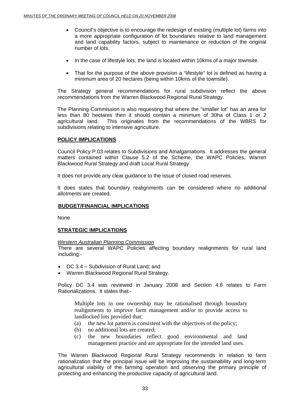- Council's objective is to encourage the redesign of existing (multiple lot) farms into a more appropriate configuration of lot boundaries relative to land management and land capability factors, subject to maintenance or reduction of the original number of lots.
- In the case of lifestyle lots, the land is located within 10kms of a major townsite.
- That for the purpose of the above provision a "lifestyle" lot is defined as having a minimum area of 20 hectares (being within 10kms of the townsite).

The Strategy general recommendations for rural subdivision reflect the above recommendations from the Warren Blackwood Regional Rural Strategy.

The Planning Commission is also requesting that where the "smaller lot" has an area for less than 80 hectares then it should contain a minimum of 30ha of Class 1 or 2 agricultural land. This originates from the recommendations of the WBRS for subdivisions relating to intensive agriculture.

# **POLICY IMPLICATIONS**

Council Policy P.03 relates to Subdivisions and Amalgamations. It addresses the general matters contained within Clause 5.2 of the Scheme, the WAPC Policies, Warren Blackwood Rural Strategy and draft Local Rural Strategy

It does not provide any clear guidance to the issue of closed road reserves.

It does states that boundary realignments can be considered where no additional allotments are created.

# **BUDGET/FINANCIAL IMPLICATIONS**

None

# **STRATEGIC IMPLICATIONS**

#### *Western Australian Planning Commission*

There are several WAPC Policies affecting boundary realignments for rural land including:-

- DC 3.4 Subdivision of Rural Land; and
- Warren Blackwood Regional Rural Strategy.

Policy DC 3.4 was reviewed in January 2008 and Section 4.6 relates to Farm Rationalizations. It states that:-

Multiple lots in one ownership may be rationalised through boundary realignments to improve farm management and/or to provide access to landlocked lots provided that:

- (a) the new lot pattern is consistent with the objectives of the policy;
- (b) no additional lots are created;
- (c) the new boundaries reflect good environmental and land management practice and are appropriate for the intended land uses.

The Warren Blackwood Regional Rural Strategy recommends in relation to farm rationalization that the principal issue will be improving the sustainability and long-term agricultural viability of the farming operation and observing the primary principle of protecting and enhancing the productive capacity of agricultural land.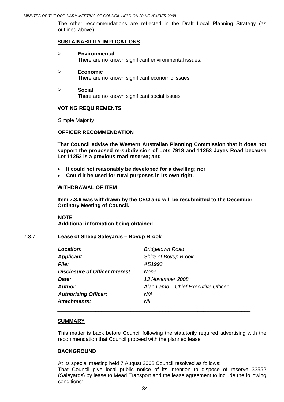The other recommendations are reflected in the Draft Local Planning Strategy (as outlined above).

#### **SUSTAINABILITY IMPLICATIONS**

- ¾ **Environmental**  There are no known significant environmental issues.
- ¾ **Economic**  There are no known significant economic issues.
- ¾ **Social**  There are no known significant social issues

#### **VOTING REQUIREMENTS**

Simple Majority

#### **OFFICER RECOMMENDATION**

**That Council advise the Western Australian Planning Commission that it does not support the proposed re-subdivision of Lots 7918 and 11253 Jayes Road because Lot 11253 is a previous road reserve; and** 

- **It could not reasonably be developed for a dwelling; nor**
- **Could it be used for rural purposes in its own right.**

#### **WITHDRAWAL OF ITEM**

**Item 7.3.6 was withdrawn by the CEO and will be resubmitted to the December Ordinary Meeting of Council.** 

**NOTE Additional information being obtained.** 

#### 7.3.7 **Lease of Sheep Saleyards – Boyup Brook**

| <b>Location:</b>                       | <b>Bridgetown Road</b>              |
|----------------------------------------|-------------------------------------|
| <b>Applicant:</b>                      | Shire of Boyup Brook                |
| <b>File:</b>                           | AS1993                              |
| <b>Disclosure of Officer Interest:</b> | <b>None</b>                         |
| <b>Date:</b>                           | 13 November 2008                    |
| Author:                                | Alan Lamb - Chief Executive Officer |
| <b>Authorizing Officer:</b>            | N/A                                 |
| Attachments:                           | Nil                                 |

#### **SUMMARY**

This matter is back before Council following the statutorily required advertising with the recommendation that Council proceed with the planned lease.

#### **BACKGROUND**

At its special meeting held 7 August 2008 Council resolved as follows: That Council give local public notice of its intention to dispose of reserve 33552 (Saleyards) by lease to Mead Transport and the lease agreement to include the following conditions:-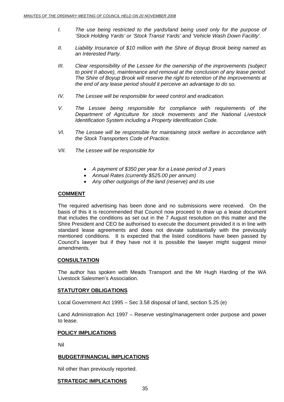- *I. The use being restricted to the yards/land being used only for the purpose of 'Stock Holding Yards' or 'Stock Transit Yards' and 'Vehicle Wash Down Facility'.*
- *II. Liability Insurance of \$10 million with the Shire of Boyup Brook being named as an Interested Party.*
- *III. Clear responsibility of the Lessee for the ownership of the improvements (subject to point II above), maintenance and removal at the conclusion of any lease period. The Shire of Boyup Brook will reserve the right to retention of the improvements at the end of any lease period should it perceive an advantage to do so.*
- *IV. The Lessee will be responsible for weed control and eradication.*
- *V. The Lessee being responsible for compliance with requirements of the Department of Agriculture for stock movements and the National Livestock Identification System including a Property Identification Code.*
- *VI. The Lessee will be responsible for maintaining stock welfare in accordance with the Stock Transporters Code of Practice.*
- *VII. The Lessee will be responsible for* 
	- *A payment of \$350 per year for a Lease period of 3 years*
	- *Annual Rates (currently \$525.00 per annum)*
	- *Any other outgoings of the land (reserve) and its use*

#### **COMMENT**

The required advertising has been done and no submissions were received. On the basis of this it is recommended that Council now proceed to draw up a lease document that includes the conditions as set out in the 7 August resolution on this matter and the Shire President and CEO be authorised to execute the document provided it is in line with standard lease agreements and does not deviate substantially with the previously mentioned conditions. It is expected that the listed conditions have been passed by Council's lawyer but if they have not it is possible the lawyer might suggest minor amendments.

#### **CONSULTATION**

The author has spoken with Meads Transport and the Mr Hugh Harding of the WA Livestock Salesmen's Association.

# **STATUTORY OBLIGATIONS**

Local Government Act 1995 – Sec 3.58 disposal of land, section 5.25 (e)

Land Administration Act 1997 – Reserve vesting/management order purpose and power to lease.

#### **POLICY IMPLICATIONS**

Nil

#### **BUDGET/FINANCIAL IMPLICATIONS**

Nil other than previously reported.

# **STRATEGIC IMPLICATIONS**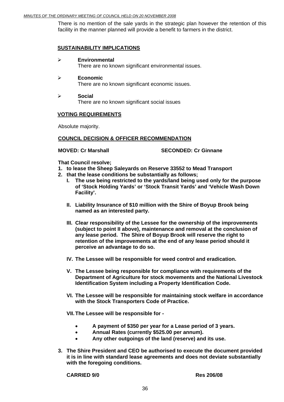There is no mention of the sale yards in the strategic plan however the retention of this facility in the manner planned will provide a benefit to farmers in the district.

### **SUSTAINABILITY IMPLICATIONS**

#### ¾ **Environmental**

There are no known significant environmental issues.

#### ¾ **Economic**

There are no known significant economic issues.

¾ **Social**  There are no known significant social issues

#### **VOTING REQUIREMENTS**

Absolute majority.

#### **COUNCIL DECISION & OFFICER RECOMMENDATION**

#### **MOVED: Cr Marshall SECONDED: Cr Ginnane**

**That Council resolve;** 

- **1. to lease the Sheep Saleyards on Reserve 33552 to Mead Transport**
- **2. that the lease conditions be substantially as follows;** 
	- **I. The use being restricted to the yards/land being used only for the purpose of 'Stock Holding Yards' or 'Stock Transit Yards' and 'Vehicle Wash Down Facility'.**
	- **II. Liability Insurance of \$10 million with the Shire of Boyup Brook being named as an interested party.**
	- **III. Clear responsibility of the Lessee for the ownership of the improvements (subject to point II above), maintenance and removal at the conclusion of any lease period. The Shire of Boyup Brook will reserve the right to retention of the improvements at the end of any lease period should it perceive an advantage to do so.**
	- **IV. The Lessee will be responsible for weed control and eradication.**
	- **V. The Lessee being responsible for compliance with requirements of the Department of Agriculture for stock movements and the National Livestock Identification System including a Property Identification Code.**
	- **VI. The Lessee will be responsible for maintaining stock welfare in accordance with the Stock Transporters Code of Practice.**

**VII. The Lessee will be responsible for -** 

- **A payment of \$350 per year for a Lease period of 3 years.**
- **Annual Rates (currently \$525.00 per annum).**
- **Any other outgoings of the land (reserve) and its use.**
- **3. The Shire President and CEO be authorised to execute the document provided it is in line with standard lease agreements and does not deviate substantially with the foregoing conditions.**

**CARRIED 9/0 Res 206/08**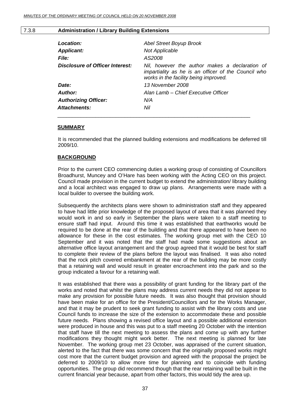#### 7.3.8 **Administration / Library Building Extensions**

| Location:                       | <b>Abel Street Boyup Brook</b>                                                                                                                 |
|---------------------------------|------------------------------------------------------------------------------------------------------------------------------------------------|
| <b>Applicant:</b>               | <b>Not Applicable</b>                                                                                                                          |
| <b>File:</b>                    | AS2008                                                                                                                                         |
| Disclosure of Officer Interest: | Nil, however the author makes a declaration of<br>impartiality as he is an officer of the Council who<br>works in the facility being improved. |
| Date:                           | 13 November 2008                                                                                                                               |
| Author:                         | Alan Lamb – Chief Executive Officer                                                                                                            |
| <b>Authorizing Officer:</b>     | N/A                                                                                                                                            |
| Attachments:                    | Nil                                                                                                                                            |
|                                 |                                                                                                                                                |

#### **SUMMARY**

It is recommended that the planned building extensions and modifications be deferred till 2009/10.

#### **BACKGROUND**

Prior to the current CEO commencing duties a working group of consisting of Councillors Broadhurst, Muncey and O'Hare has been working with the Acting CEO on this project. Council made provision in the current budget to extend the administration/ library building and a local architect was engaged to draw up plans. Arrangements were made with a local builder to oversee the building work.

Subsequently the architects plans were shown to administration staff and they appeared to have had little prior knowledge of the proposed layout of area that it was planned they would work in and so early in September the plans were taken to a staff meeting to ensure staff had input. Around this time it was established that earthworks would be required to be done at the rear of the building and that there appeared to have been no allowance for these in the cost estimates. The working group met with the CEO 10 September and it was noted that the staff had made some suggestions about an alternative office layout arrangement and the group agreed that it would be best for staff to complete their review of the plans before the layout was finalised. It was also noted that the rock pitch covered embankment at the rear of the building may be more costly that a retaining wall and would result in greater encroachment into the park and so the group indicated a favour for a retaining wall.

It was established that there was a possibility of grant funding for the library part of the works and noted that whilst the plans may address current needs they did not appear to make any provision for possible future needs. It was also thought that provision should have been make for an office for the President/Councillors and for the Works Manager, and that it may be prudent to seek grant funding to assist with the library costs and use Council funds to increase the size of the extension to accommodate these and possible future needs. Plans showing a revised office layout and a possible additional extension were produced in house and this was put to a staff meeting 20 October with the intention that staff have till the next meeting to assess the plans and come up with any further modifications they thought might work better. The next meeting is planned for late November. The working group met 23 October, was appraised of the current situation, alerted to the fact that there was some concern that the originally proposed works might cost more that the current budget provision and agreed with the proposal the project be deferred to 2009/10 to allow more time for planning and to coincide with funding opportunities. The group did recommend though that the rear retaining wall be built in the current financial year because, apart from other factors, this would tidy the area up.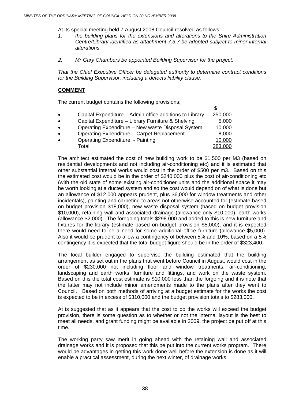At its special meeting held 7 August 2008 Council resolved as follows:

- *1. the building plans for the extensions and alterations to the Shire Administration Centre/Library identified as attachment 7.3.7 be adopted subject to minor internal alterations.*
- *2. Mr Gary Chambers be appointed Building Supervisor for the project.*

*That the Chief Executive Officer be delegated authority to determine contract conditions for the Building Supervisor, including a defects liability clause.* 

# **COMMENT**

The current budget contains the following provisions;

| $\bullet$ | Capital Expenditure – Admin office additions to Library | 250,000 |
|-----------|---------------------------------------------------------|---------|
| $\bullet$ | Capital Expenditure - Library Furniture & Shelving      | 5,000   |
| $\bullet$ | Operating Expenditure – New waste Disposal System       | 10,000  |
| $\bullet$ | <b>Operating Expenditure - Carpet Replacement</b>       | 8,000   |
| $\bullet$ | <b>Operating Expenditure - Painting</b>                 | 10,000  |
|           | Total                                                   | 283,000 |

The architect estimated the cost of new building work to be \$1,500 per M3 (based on residential developments and not including air-conditioning etc) and it is estimated that other substantial internal works would cost in the order of \$500 per m3. Based on this the estimated cost would be in the order of \$240,000 plus the cost of air-conditioning etc (with the old state of some existing air-conditioner units and the additional space it may be worth looking at a ducted system and so the cost would depend on of what is done but an allowance of \$12,000 appears prudent, plus \$6,000 for window treatments and other incidentals), painting and carpeting to areas not otherwise accounted for (estimate based on budget provision \$18,000), new waste disposal system (based on budget provision \$10,000), retaining wall and associated drainage (allowance only \$10,000), earth works (allowance \$2,000). The foregoing totals \$298.000 and added to this is new furniture and fixtures for the library (estimate based on budget provision \$5,000), and it is expected there would need to be a need for some additional office furniture (allowance \$5,000). Also it would be prudent to allow a contingency of between 5% and 10%, based on a 5% contingency it is expected that the total budget figure should be in the order of \$323,400.

The local builder engaged to supervise the building estimated that the building arrangement as set out in the plans that went before Council in August, would cost in the order of \$230,000 not including floor and window treatments, air-conditioning, landscaping and earth works, furniture and fittings, and work on the waste system. Based on this the total cost estimate is \$10,000 less than the forgoing and it is note that the latter may not include minor amendments made to the plans after they went to Council. Based on both methods of arriving at a budget estimate for the works the cost is expected to be in excess of \$310,000 and the budget provision totals to \$283,000.

At is suggested that as it appears that the cost to do the works will exceed the budget provision, there is some question as to whether or not the internal layout is the best to meet all needs, and grant funding might be available in 2009, the project be put off at this time.

The working party saw merit in going ahead with the retaining wall and associated drainage works and it is proposed that this be put into the current works program. There would be advantages in getting this work done well before the extension is done as it will enable a practical assessment, during the next winter, of drainage works.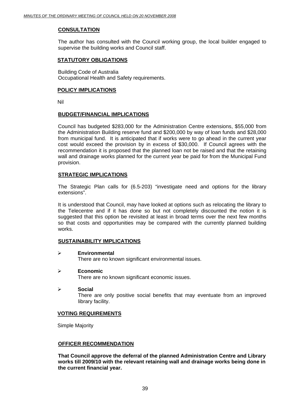# **CONSULTATION**

The author has consulted with the Council working group, the local builder engaged to supervise the building works and Council staff.

# **STATUTORY OBLIGATIONS**

Building Code of Australia Occupational Health and Safety requirements.

#### **POLICY IMPLICATIONS**

Nil

# **BUDGET/FINANCIAL IMPLICATIONS**

Council has budgeted \$283,000 for the Administration Centre extensions, \$55,000 from the Administration Building reserve fund and \$200,000 by way of loan funds and \$28,000 from municipal fund. It is anticipated that if works were to go ahead in the current year cost would exceed the provision by in excess of \$30,000. If Council agrees with the recommendation it is proposed that the planned loan not be raised and that the retaining wall and drainage works planned for the current year be paid for from the Municipal Fund provision.

# **STRATEGIC IMPLICATIONS**

The Strategic Plan calls for (6.5-203) "investigate need and options for the library extensions".

It is understood that Council, may have looked at options such as relocating the library to the Telecentre and if it has done so but not completely discounted the notion it is suggested that this option be revisited at least in broad terms over the next few months so that costs and opportunities may be compared with the currently planned building works.

# **SUSTAINABILITY IMPLICATIONS**

#### ¾ **Environmental**

There are no known significant environmental issues.

#### ¾ **Economic**

There are no known significant economic issues.

#### ¾ **Social**

There are only positive social benefits that may eventuate from an improved library facility.

# **VOTING REQUIREMENTS**

Simple Majority

# **OFFICER RECOMMENDATION**

**That Council approve the deferral of the planned Administration Centre and Library works till 2009/10 with the relevant retaining wall and drainage works being done in the current financial year.**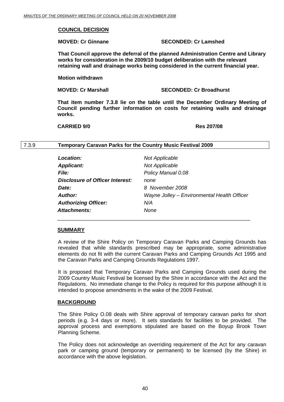### **COUNCIL DECISION**

### **MOVED: Cr Ginnane SECONDED: Cr Lamshed**

**That Council approve the deferral of the planned Administration Centre and Library works for consideration in the 2009/10 budget deliberation with the relevant retaining wall and drainage works being considered in the current financial year.** 

 **Motion withdrawn** 

**MOVED: Cr Marshall SECONDED: Cr Broadhurst** 

**That item number 7.3.8 lie on the table until the December Ordinary Meeting of Council pending further information on costs for retaining walls and drainage works.** 

**CARRIED 9/0 Res 207/08** 

#### 7.3.9 **Temporary Caravan Parks for the Country Music Festival 2009**

| Location:                       | <b>Not Applicable</b>                       |
|---------------------------------|---------------------------------------------|
| <b>Applicant:</b>               | <b>Not Applicable</b>                       |
| <i>File:</i>                    | Policy Manual 0.08                          |
| Disclosure of Officer Interest: | none                                        |
| Date:                           | 8 November 2008                             |
| Author:                         | Wayne Jolley - Environmental Health Officer |
| <b>Authorizing Officer:</b>     | N/A                                         |
| <b>Attachments:</b>             | None                                        |

 $\overline{\phantom{a}}$  , and the contract of the contract of the contract of the contract of the contract of the contract of the contract of the contract of the contract of the contract of the contract of the contract of the contrac

#### **SUMMARY**

A review of the Shire Policy on Temporary Caravan Parks and Camping Grounds has revealed that while standards prescribed may be appropriate, some administrative elements do not fit with the current Caravan Parks and Camping Grounds Act 1995 and the Caravan Parks and Camping Grounds Regulations 1997.

It is proposed that Temporary Caravan Parks and Camping Grounds used during the 2009 Country Music Festival be licensed by the Shire in accordance with the Act and the Regulations. No immediate change to the Policy is required for this purpose although it is intended to propose amendments in the wake of the 2009 Festival.

#### **BACKGROUND**

The Shire Policy O.08 deals with Shire approval of temporary caravan parks for short periods (e.g. 3-4 days or more). It sets standards for facilities to be provided. The approval process and exemptions stipulated are based on the Boyup Brook Town Planning Scheme.

The Policy does not acknowledge an overriding requirement of the Act for any caravan park or camping ground (temporary or permanent) to be licensed (by the Shire) in accordance with the above legislation.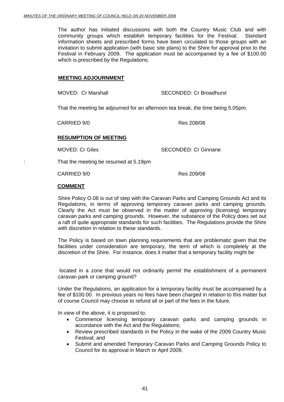The author has initiated discussions with both the Country Music Club and with community groups which establish temporary facilities for the Festival. Standard information sheets and prescribed forms have been circulated to those groups with an invitation to submit application (with basic site plans) to the Shire for approval prior to the Festival in February 2009. The application must be accompanied by a fee of \$100.00 which is prescribed by the Regulations.

# **MEETING ADJOURNMENT**

MOVED: Cr Marshall SECONDED: Cr Broadhurst

That the meeting be adjourned for an afternoon tea break, the time being 5.05pm.

CARRIED 9/0 Res 208/08

# **RESUMPTION OF MEETING**

MOVED: Cr Giles SECONDED: Cr Ginnane

: That the meeting be resumed at 5.19pm

CARRIED 9/0 Res 209/08

# **COMMENT**

Shire Policy O.08 is out of step with the Caravan Parks and Camping Grounds Act and its Regulations, in terms of approving temporary caravan parks and camping grounds. Clearly the Act must be observed in the matter of approving (licensing) temporary caravan parks and camping grounds. However, the substance of the Policy does set out a raft of quite appropriate standards for such facilities. The Regulations provide the Shire with discretion in relation to these standards.

The Policy is based on town planning requirements that are problematic given that the facilities under consideration are temporary, the term of which is completely at the discretion of the Shire. For instance, does it matter that a temporary facility might be

 located in a zone that would not ordinarily permit the establishment of a permanent caravan park or camping ground?

Under the Regulations, an application for a temporary facility must be accompanied by a fee of \$100.00. In previous years no fees have been charged in relation to this matter but of course Council may choose to refund all or part of the fees in the future.

In view of the above, it is proposed to:

- Commence licensing temporary caravan parks and camping grounds in accordance with the Act and the Regulations;
- Review prescribed standards in the Policy in the wake of the 2009 Country Music Festival; and
- Submit and amended Temporary Caravan Parks and Camping Grounds Policy to Council for its approval in March or April 2009.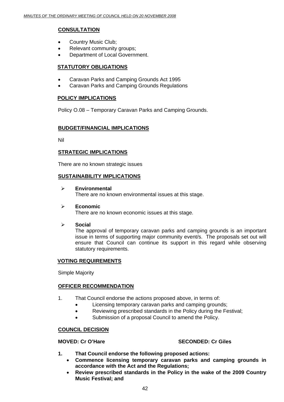# **CONSULTATION**

- Country Music Club;
- Relevant community groups;
- Department of Local Government.

# **STATUTORY OBLIGATIONS**

- Caravan Parks and Camping Grounds Act 1995
- Caravan Parks and Camping Grounds Regulations

# **POLICY IMPLICATIONS**

Policy O.08 – Temporary Caravan Parks and Camping Grounds.

# **BUDGET/FINANCIAL IMPLICATIONS**

Nil

# **STRATEGIC IMPLICATIONS**

There are no known strategic issues

# **SUSTAINABILITY IMPLICATIONS**

¾ **Environmental**  There are no known environmental issues at this stage.

# ¾ **Economic**

There are no known economic issues at this stage.

# ¾ **Social**

The approval of temporary caravan parks and camping grounds is an important issue in terms of supporting major community event/s. The proposals set out will ensure that Council can continue its support in this regard while observing statutory requirements.

# **VOTING REQUIREMENTS**

Simple Majority

# **OFFICER RECOMMENDATION**

- 1. That Council endorse the actions proposed above, in terms of:
	- Licensing temporary caravan parks and camping grounds;
	- Reviewing prescribed standards in the Policy during the Festival;
	- Submission of a proposal Council to amend the Policy.

# **COUNCIL DECISION**

# **MOVED: Cr O'Hare SECONDED: Cr Giles**

- **1. That Council endorse the following proposed actions:** 
	- **Commence licensing temporary caravan parks and camping grounds in accordance with the Act and the Regulations;**
	- **Review prescribed standards in the Policy in the wake of the 2009 Country Music Festival; and**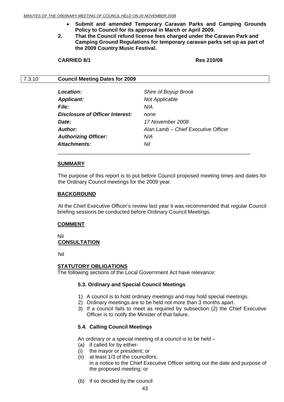- **Submit and amended Temporary Caravan Parks and Camping Grounds Policy to Council for its approval in March or April 2009.**
- **2. That the Council refund license fees charged under the Caravan Park and Camping Ground Regulations for temporary caravan parks set up as part of the 2009 Country Music Festival.**

#### **CARRIED 8/1 Res 210/08**

#### 7.3.10 **Council Meeting Dates for 2009**

| Location:                       | Shire of Boyup Brook                |
|---------------------------------|-------------------------------------|
| <b>Applicant:</b>               | <b>Not Applicable</b>               |
| <i>File:</i>                    | N/A                                 |
| Disclosure of Officer Interest: | none                                |
| Date:                           | 17 November 2008                    |
| Author:                         | Alan Lamb - Chief Executive Officer |
| <b>Authorizing Officer:</b>     | N/A                                 |
| Attachments:                    | Nil                                 |

#### **SUMMARY**

The purpose of this report is to put before Council proposed meeting times and dates for the Ordinary Council meetings for the 2009 year.

#### **BACKGROUND**

At the Chief Executive Officer's review last year it was recommended that regular Council briefing sessions be conducted before Ordinary Council Meetings.

#### **COMMENT**

Nil

#### **CONSULTATION**

Nil

#### **STATUTORY OBLIGATIONS**

The following sections of the Local Government Act have relevance:

#### **5.3. Ordinary and Special Council Meetings**

- 1) A council is to hold ordinary meetings and may hold special meetings.
- 2) Ordinary meetings are to be held not more than 3 months apart.
- 3) If a council fails to meet as required by subsection (2) the Chief Executive Officer is to notify the Minister of that failure.

#### **5.4. Calling Council Meetings**

An ordinary or a special meeting of a council is to be held –

- (a) if called for by either-
- (i) the mayor or president; or
- (ii) at least 1/3 of the councillors; in a notice to the Chief Executive Officer setting out the date and purpose of the proposed meeting; or
- (b) if so decided by the council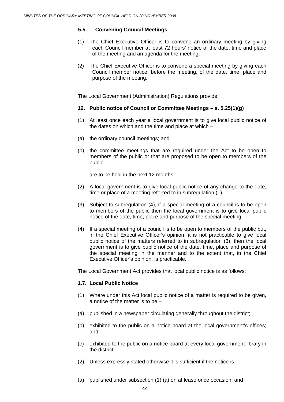### **5.5. Convening Council Meetings**

- (1) The Chief Executive Officer is to convene an ordinary meeting by giving each Council member at least 72 hours' notice of the date, time and place of the meeting and an agenda for the meeting.
- (2) The Chief Executive Officer is to convene a special meeting by giving each Council member notice, before the meeting, of the date, time, place and purpose of the meeting.

The Local Government (Administration) Regulations provide:

#### **12. Public notice of Council or Committee Meetings – s. 5.25(1)(g)**

- (1) At least once each year a local government is to give local public notice of the dates on which and the time and place at which –
- (a) the ordinary council meetings; and
- (b) the committee meetings that are required under the Act to be open to members of the public or that are proposed to be open to members of the public,

are to be held in the next 12 months.

- (2) A local government is to give local public notice of any change to the date, time or place of a meeting referred to in subregulation (1).
- (3) Subject to subregulation (4), if a special meeting of a council is to be open to members of the public then the local government is to give local public notice of the date, time, place and purpose of the special meeting.
- (4) If a special meeting of a council is to be open to members of the public but, in the Chief Executive Officer's opinion, it is not practicable to give local public notice of the matters referred to in subregulation (3), then the local government is to give public notice of the date, time, place and purpose of the special meeting in the manner and to the extent that, in the Chief Executive Officer's opinion, is practicable.

The Local Government Act provides that local public notice is as follows;

#### **1.7. Local Public Notice**

- (1) Where under this Act local public notice of a matter is required to be given, a notice of the matter is to be –
- (a) published in a newspaper circulating generally throughout the district;
- (b) exhibited to the public on a notice board at the local government's offices; and
- (c) exhibited to the public on a notice board at every local government library in the district.
- (2) Unless expressly stated otherwise it is sufficient if the notice is –
- (a) published under subsection (1) (a) on at lease once occasion; and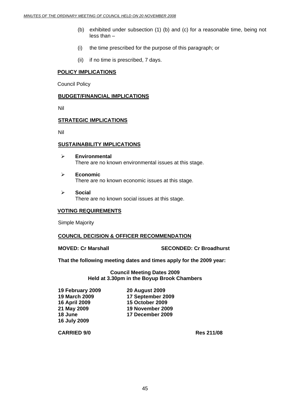- (b) exhibited under subsection (1) (b) and (c) for a reasonable time, being not less than –
- (i) the time prescribed for the purpose of this paragraph; or
- (ii) if no time is prescribed, 7 days.

# **POLICY IMPLICATIONS**

Council Policy

#### **BUDGET/FINANCIAL IMPLICATIONS**

Nil

#### **STRATEGIC IMPLICATIONS**

Nil

# **SUSTAINABILITY IMPLICATIONS**

- ¾ **Environmental**  There are no known environmental issues at this stage.
- ¾ **Economic**  There are no known economic issues at this stage.
- ¾ **Social**  There are no known social issues at this stage.

# **VOTING REQUIREMENTS**

Simple Majority

# **COUNCIL DECISION & OFFICER RECOMMENDATION**

**MOVED: Cr Marshall SECONDED: Cr Broadhurst** 

**That the following meeting dates and times apply for the 2009 year:** 

**Council Meeting Dates 2009 Held at 3.30pm in the Boyup Brook Chambers** 

**19 February 2009 20 August 2009 16 April 2009 15 October 2009 16 July 2009** 

**19 March 2009 17 September 2009 21 May 2009 19 November 2009 18 June 17 December 2009** 

**CARRIED 9/0 Res 211/08**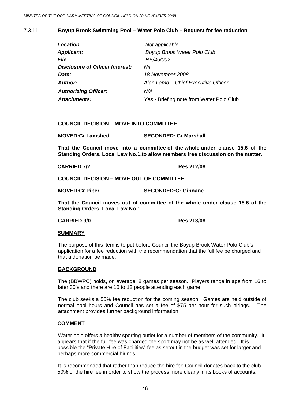#### 7.3.11 **Boyup Brook Swimming Pool – Water Polo Club – Request for fee reduction**

| Location:                       | Not applicable                           |
|---------------------------------|------------------------------------------|
| <b>Applicant:</b>               | Boyup Brook Water Polo Club              |
| <i>File:</i>                    | RE/45/002                                |
| Disclosure of Officer Interest: | Nil                                      |
| Date:                           | 18 November 2008                         |
| <b>Author:</b>                  | Alan Lamb – Chief Executive Officer      |
| <b>Authorizing Officer:</b>     | N/A                                      |
| <b>Attachments:</b>             | Yes - Briefing note from Water Polo Club |
|                                 |                                          |

#### **COUNCIL DECISION – MOVE INTO COMMITTEE**

**MOVED:Cr Lamshed SECONDED: Cr Marshall** 

**That the Council move into a committee of the whole under clause 15.6 of the Standing Orders, Local Law No.1.to allow members free discussion on the matter.** 

\_\_\_\_\_\_\_\_\_\_\_\_\_\_\_\_\_\_\_\_\_\_\_\_\_\_\_\_\_\_\_\_\_\_\_\_\_\_\_\_\_\_\_\_\_\_\_\_\_\_\_\_\_\_\_\_\_\_\_\_\_\_\_\_\_\_\_\_\_

 **CARRIED 7/2 Res 212/08** 

#### **COUNCIL DECISION – MOVE OUT OF COMMITTEE**

**MOVED:Cr Piper SECONDED:Cr Ginnane** 

**That the Council moves out of committee of the whole under clause 15.6 of the Standing Orders, Local Law No.1.** 

#### **CARRIED 9/0 Res 213/08**

#### **SUMMARY**

The purpose of this item is to put before Council the Boyup Brook Water Polo Club's application for a fee reduction with the recommendation that the full fee be charged and that a donation be made.

#### **BACKGROUND**

The (BBWPC) holds, on average, 8 games per season. Players range in age from 16 to later 30's and there are 10 to 12 people attending each game.

The club seeks a 50% fee reduction for the coming season. Games are held outside of normal pool hours and Council has set a fee of \$75 per hour for such hirings. The attachment provides further background information.

#### **COMMENT**

 Water polo offers a healthy sporting outlet for a number of members of the community. It appears that if the full fee was charged the sport may not be as well attended. It is possible the "Private Hire of Facilities" fee as setout in the budget was set for larger and perhaps more commercial hirings.

 It is recommended that rather than reduce the hire fee Council donates back to the club 50% of the hire fee in order to show the process more clearly in its books of accounts.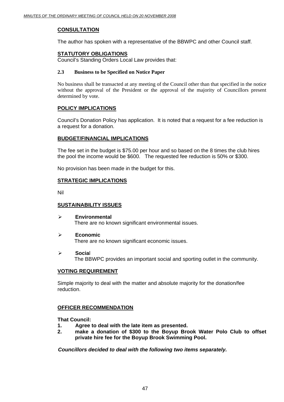# **CONSULTATION**

The author has spoken with a representative of the BBWPC and other Council staff.

### **STATUTORY OBLIGATIONS**

Council's Standing Orders Local Law provides that:

### **2.3 Business to be Specified on Notice Paper**

No business shall be transacted at any meeting of the Council other than that specified in the notice without the approval of the President or the approval of the majority of Councillors present determined by vote.

# **POLICY IMPLICATIONS**

Council's Donation Policy has application. It is noted that a request for a fee reduction is a request for a donation.

# **BUDGET/FINANCIAL IMPLICATIONS**

The fee set in the budget is \$75.00 per hour and so based on the 8 times the club hires the pool the income would be \$600. The requested fee reduction is 50% or \$300.

No provision has been made in the budget for this.

# **STRATEGIC IMPLICATIONS**

Nil

# **SUSTAINABILITY ISSUES**

- ¾ **Environmental**  There are no known significant environmental issues.
- ¾ **Economic**

There are no known significant economic issues.

¾ **Socia**l

The BBWPC provides an important social and sporting outlet in the community.

#### **VOTING REQUIREMENT**

Simple majority to deal with the matter and absolute majority for the donation/fee reduction.

# **OFFICER RECOMMENDATION**

**That Council:** 

- **1. Agree to deal with the late item as presented.**
- **2. make a donation of \$300 to the Boyup Brook Water Polo Club to offset private hire fee for the Boyup Brook Swimming Pool.**

*Councillors decided to deal with the following two items separately.*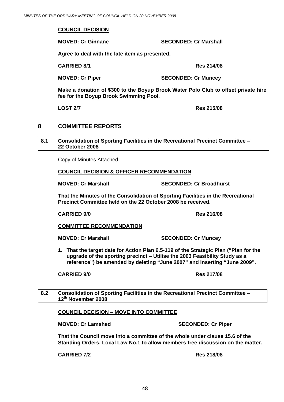#### **COUNCIL DECISION**

 **MOVED: Cr Ginnane SECONDED: Cr Marshall** 

 **Agree to deal with the late item as presented.** 

 **CARRIED 8/1 Res 214/08** 

**MOVED: Cr Piper SECONDED: Cr Muncey** 

**Make a donation of \$300 to the Boyup Brook Water Polo Club to offset private hire fee for the Boyup Brook Swimming Pool.** 

**LOST 2/7 Res 215/08** 

# **8 COMMITTEE REPORTS**

#### **8.1 Consolidation of Sporting Facilities in the Recreational Precinct Committee – 22 October 2008**

Copy of Minutes Attached.

#### **COUNCIL DECISION & OFFICER RECOMMENDATION**

**MOVED: Cr Marshall SECONDED: Cr Broadhurst** 

**That the Minutes of the Consolidation of Sporting Facilities in the Recreational Precinct Committee held on the 22 October 2008 be received.** 

**CARRIED 9/0 Res 216/08** 

# **COMMITTEE RECOMMENDATION**

**MOVED: Cr Marshall SECONDED: Cr Muncey** 

**1. That the target date for Action Plan 6.5-119 of the Strategic Plan ("Plan for the upgrade of the sporting precinct – Utilise the 2003 Feasibility Study as a reference") be amended by deleting "June 2007" and inserting "June 2009".** 

**CARRIED 9/0 Res 217/08** 

**8.2 Consolidation of Sporting Facilities in the Recreational Precinct Committee – 12th November 2008** 

# **COUNCIL DECISION – MOVE INTO COMMITTEE**

**MOVED: Cr Lamshed SECONDED: Cr Piper** 

**That the Council move into a committee of the whole under clause 15.6 of the Standing Orders, Local Law No.1.to allow members free discussion on the matter.** 

**CARRIED 7/2 Res 218/08**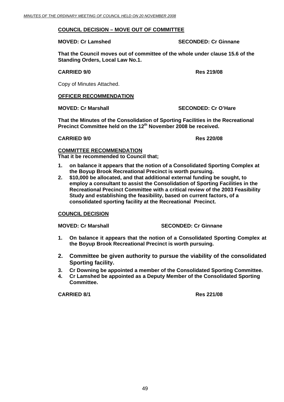### **COUNCIL DECISION – MOVE OUT OF COMMITTEE**

**MOVED: Cr Lamshed SECONDED: Cr Ginnane** 

**That the Council moves out of committee of the whole under clause 15.6 of the Standing Orders, Local Law No.1.** 

**CARRIED 9/0 Res 219/08** 

Copy of Minutes Attached.

# **OFFICER RECOMMENDATION**

**MOVED: Cr Marshall SECONDED: Cr O'Hare** 

**That the Minutes of the Consolidation of Sporting Facilities in the Recreational Precinct Committee held on the 12th November 2008 be received.** 

 **CARRIED 9/0 Res 220/08** 

# **COMMITTEE RECOMMENDATION**

**That it be recommended to Council that;** 

- **1. on balance it appears that the notion of a Consolidated Sporting Complex at the Boyup Brook Recreational Precinct is worth pursuing.**
- **2. \$10,000 be allocated, and that additional external funding be sought, to employ a consultant to assist the Consolidation of Sporting Facilities in the Recreational Precinct Committee with a critical review of the 2003 Feasibility Study and establishing the feasibility, based on current factors, of a consolidated sporting facility at the Recreational Precinct.**

# **COUNCIL DECISION**

**MOVED: Cr Marshall SECONDED: Cr Ginnane** 

- **1. On balance it appears that the notion of a Consolidated Sporting Complex at the Boyup Brook Recreational Precinct is worth pursuing.**
- **2. Committee be given authority to pursue the viability of the consolidated Sporting facility.**
- **3. Cr Downing be appointed a member of the Consolidated Sporting Committee.**
- **4. Cr Lamshed be appointed as a Deputy Member of the Consolidated Sporting Committee.**

**CARRIED 8/1 Res 221/08**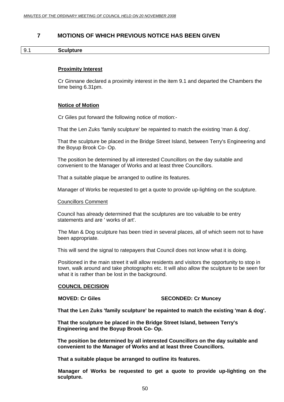# **7 MOTIONS OF WHICH PREVIOUS NOTICE HAS BEEN GIVEN**

#### 9.1 **Sculpture**

#### **Proximity Interest**

Cr Ginnane declared a proximity interest in the item 9.1 and departed the Chambers the time being 6.31pm.

#### **Notice of Motion**

Cr Giles put forward the following notice of motion:-

That the Len Zuks 'family sculpture' be repainted to match the existing 'man & dog'.

That the sculpture be placed in the Bridge Street Island, between Terry's Engineering and the Boyup Brook Co- Op.

The position be determined by all interested Councillors on the day suitable and convenient to the Manager of Works and at least three Councillors.

That a suitable plaque be arranged to outline its features.

Manager of Works be requested to get a quote to provide up-lighting on the sculpture.

#### Councillors Comment

Council has already determined that the sculptures are too valuable to be entry statements and are ' works of art'.

The Man & Dog sculpture has been tried in several places, all of which seem not to have been appropriate.

This will send the signal to ratepayers that Council does not know what it is doing.

Positioned in the main street it will allow residents and visitors the opportunity to stop in town, walk around and take photographs etc. It will also allow the sculpture to be seen for what it is rather than be lost in the background.

#### **COUNCIL DECISION**

#### **MOVED: Cr Giles SECONDED: Cr Muncey**

**That the Len Zuks 'family sculpture' be repainted to match the existing 'man & dog'.** 

**That the sculpture be placed in the Bridge Street Island, between Terry's Engineering and the Boyup Brook Co- Op.** 

**The position be determined by all interested Councillors on the day suitable and convenient to the Manager of Works and at least three Councillors.** 

**That a suitable plaque be arranged to outline its features.** 

**Manager of Works be requested to get a quote to provide up-lighting on the sculpture.**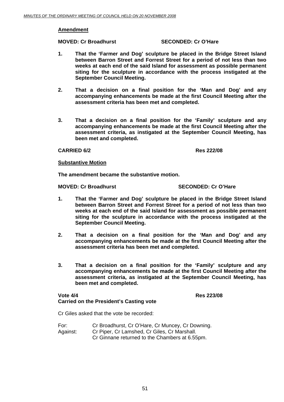#### **Amendment**

#### **MOVED: Cr Broadhurst SECONDED: Cr O'Hare**

- **1. That the 'Farmer and Dog' sculpture be placed in the Bridge Street Island between Barron Street and Forrest Street for a period of not less than two weeks at each end of the said Island for assessment as possible permanent siting for the sculpture in accordance with the process instigated at the September Council Meeting.**
- **2. That a decision on a final position for the 'Man and Dog' and any accompanying enhancements be made at the first Council Meeting after the assessment criteria has been met and completed.**
- **3. That a decision on a final position for the 'Family' sculpture and any accompanying enhancements be made at the first Council Meeting after the assessment criteria, as instigated at the September Council Meeting, has been met and completed.**

#### **CARRIED 6/2 Res 222/08**

#### **Substantive Motion**

**The amendment became the substantive motion.** 

**MOVED: Cr Broadhurst SECONDED: Cr O'Hare** 

- **1. That the 'Farmer and Dog' sculpture be placed in the Bridge Street Island between Barron Street and Forrest Street for a period of not less than two weeks at each end of the said Island for assessment as possible permanent siting for the sculpture in accordance with the process instigated at the September Council Meeting.**
- **2. That a decision on a final position for the 'Man and Dog' and any accompanying enhancements be made at the first Council Meeting after the assessment criteria has been met and completed.**
- **3. That a decision on a final position for the 'Family' sculpture and any accompanying enhancements be made at the first Council Meeting after the assessment criteria, as instigated at the September Council Meeting, has been met and completed.**

# **Vote 4/4 Res 223/08 Carried on the President's Casting vote**

Cr Giles asked that the vote be recorded:

For: Cr Broadhurst, Cr O'Hare, Cr Muncey, Cr Downing. Against: Cr Piper, Cr Lamshed, Cr Giles, Cr Marshall. Cr Ginnane returned to the Chambers at 6.55pm.